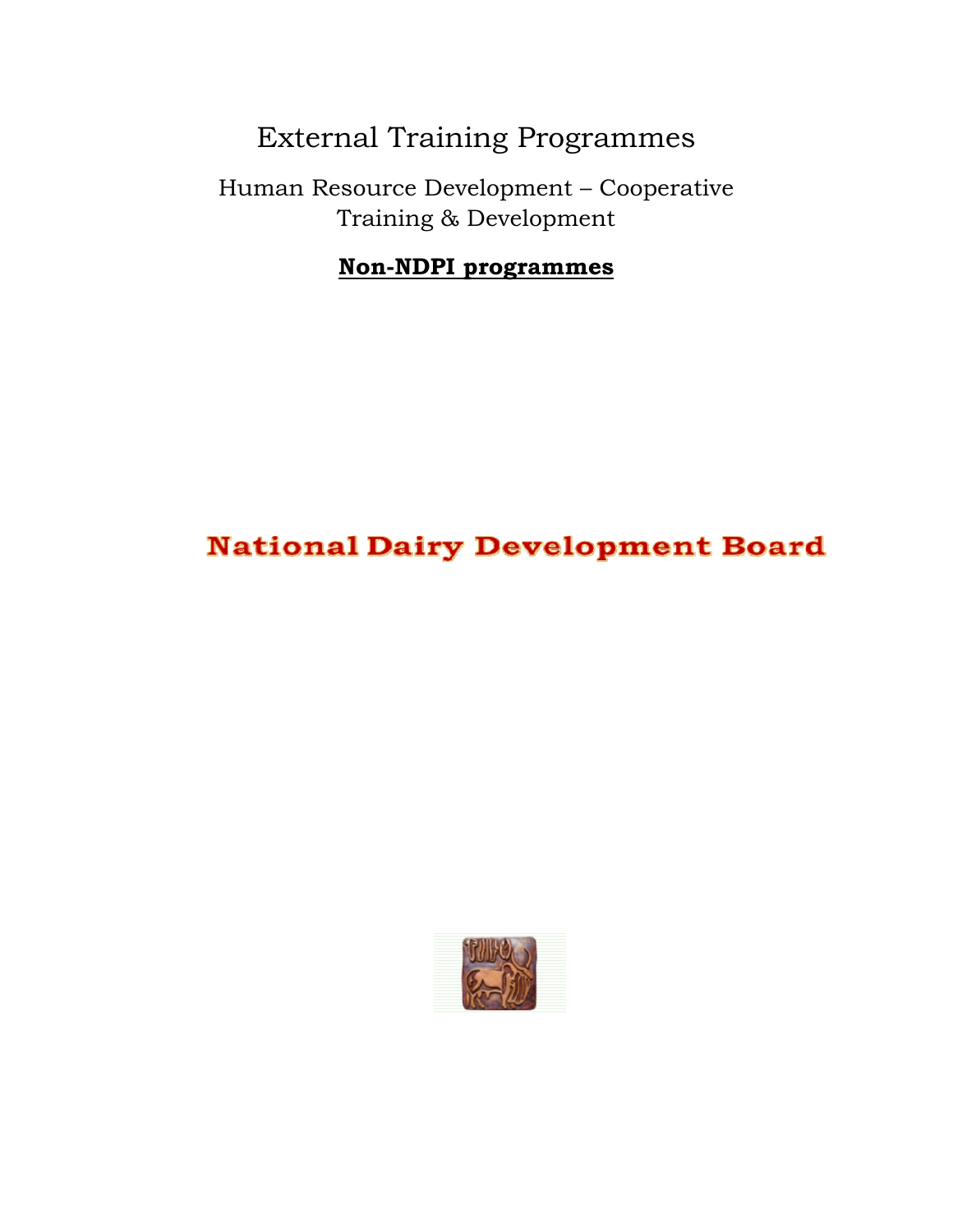# External Training Programmes

Human Resource Development – Cooperative Training & Development

#### **Non-NDPI programmes**

## **National Dairy Development Board**

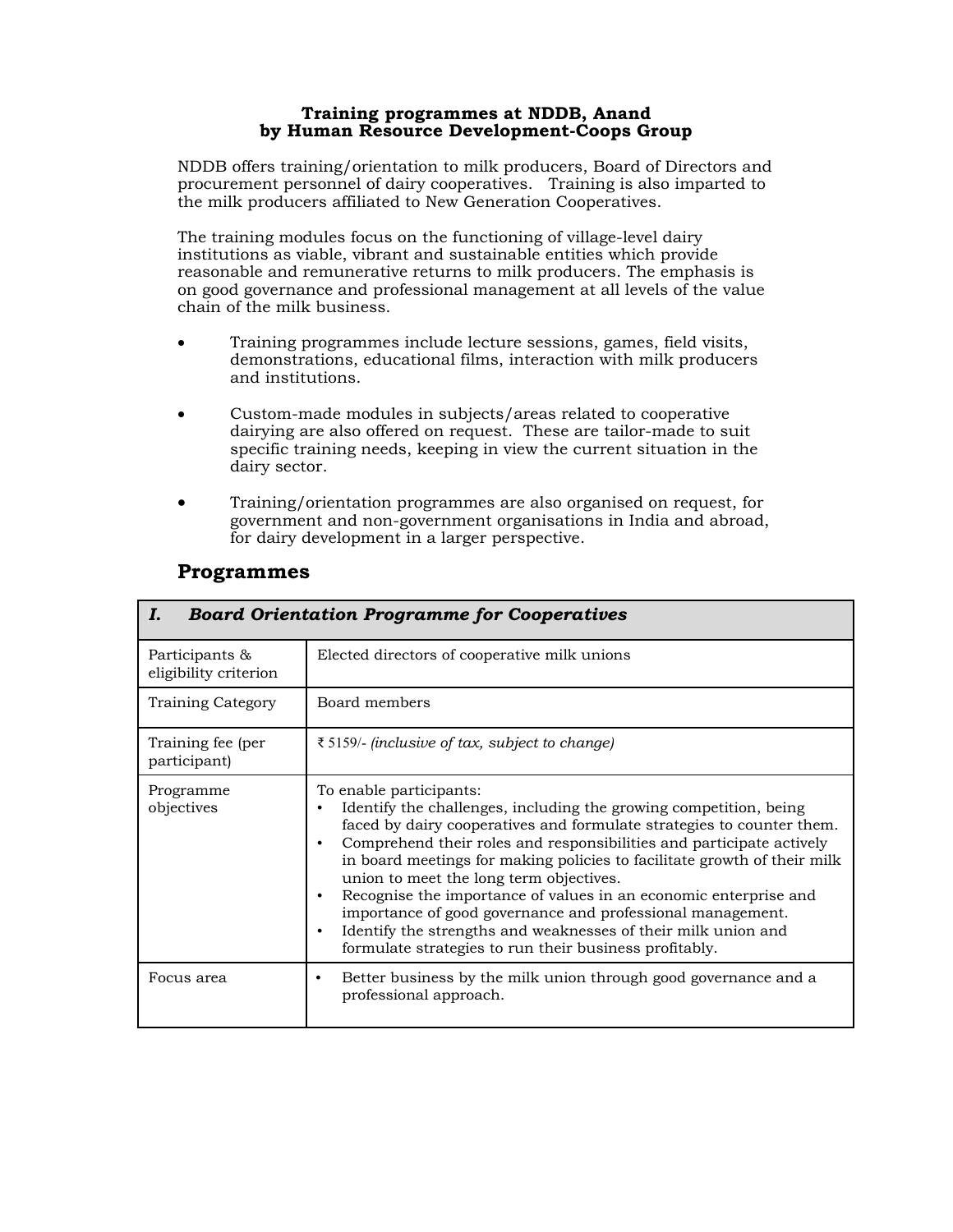#### **Training programmes at NDDB, Anand by Human Resource Development-Coops Group**

NDDB offers training/orientation to milk producers, Board of Directors and procurement personnel of dairy cooperatives. Training is also imparted to the milk producers affiliated to New Generation Cooperatives.

The training modules focus on the functioning of village-level dairy institutions as viable, vibrant and sustainable entities which provide reasonable and remunerative returns to milk producers. The emphasis is on good governance and professional management at all levels of the value chain of the milk business.

- Training programmes include lecture sessions, games, field visits, demonstrations, educational films, interaction with milk producers and institutions.
- Custom-made modules in subjects/areas related to cooperative dairying are also offered on request. These are tailor-made to suit specific training needs, keeping in view the current situation in the dairy sector.
- Training/orientation programmes are also organised on request, for government and non-government organisations in India and abroad, for dairy development in a larger perspective.

| <b>Board Orientation Programme for Cooperatives</b><br>I. |                                                                                                                                                                                                                                                                                                                                                                                                                                                                                                                                                                                                                                   |  |
|-----------------------------------------------------------|-----------------------------------------------------------------------------------------------------------------------------------------------------------------------------------------------------------------------------------------------------------------------------------------------------------------------------------------------------------------------------------------------------------------------------------------------------------------------------------------------------------------------------------------------------------------------------------------------------------------------------------|--|
| Participants &<br>eligibility criterion                   | Elected directors of cooperative milk unions                                                                                                                                                                                                                                                                                                                                                                                                                                                                                                                                                                                      |  |
| Training Category                                         | Board members                                                                                                                                                                                                                                                                                                                                                                                                                                                                                                                                                                                                                     |  |
| Training fee (per<br>participant)                         | ₹5159/- (inclusive of tax, subject to change)                                                                                                                                                                                                                                                                                                                                                                                                                                                                                                                                                                                     |  |
| Programme<br>objectives                                   | To enable participants:<br>Identify the challenges, including the growing competition, being<br>faced by dairy cooperatives and formulate strategies to counter them.<br>Comprehend their roles and responsibilities and participate actively<br>in board meetings for making policies to facilitate growth of their milk<br>union to meet the long term objectives.<br>Recognise the importance of values in an economic enterprise and<br>importance of good governance and professional management.<br>Identify the strengths and weaknesses of their milk union and<br>formulate strategies to run their business profitably. |  |
| Focus area                                                | Better business by the milk union through good governance and a<br>professional approach.                                                                                                                                                                                                                                                                                                                                                                                                                                                                                                                                         |  |

#### **Programmes**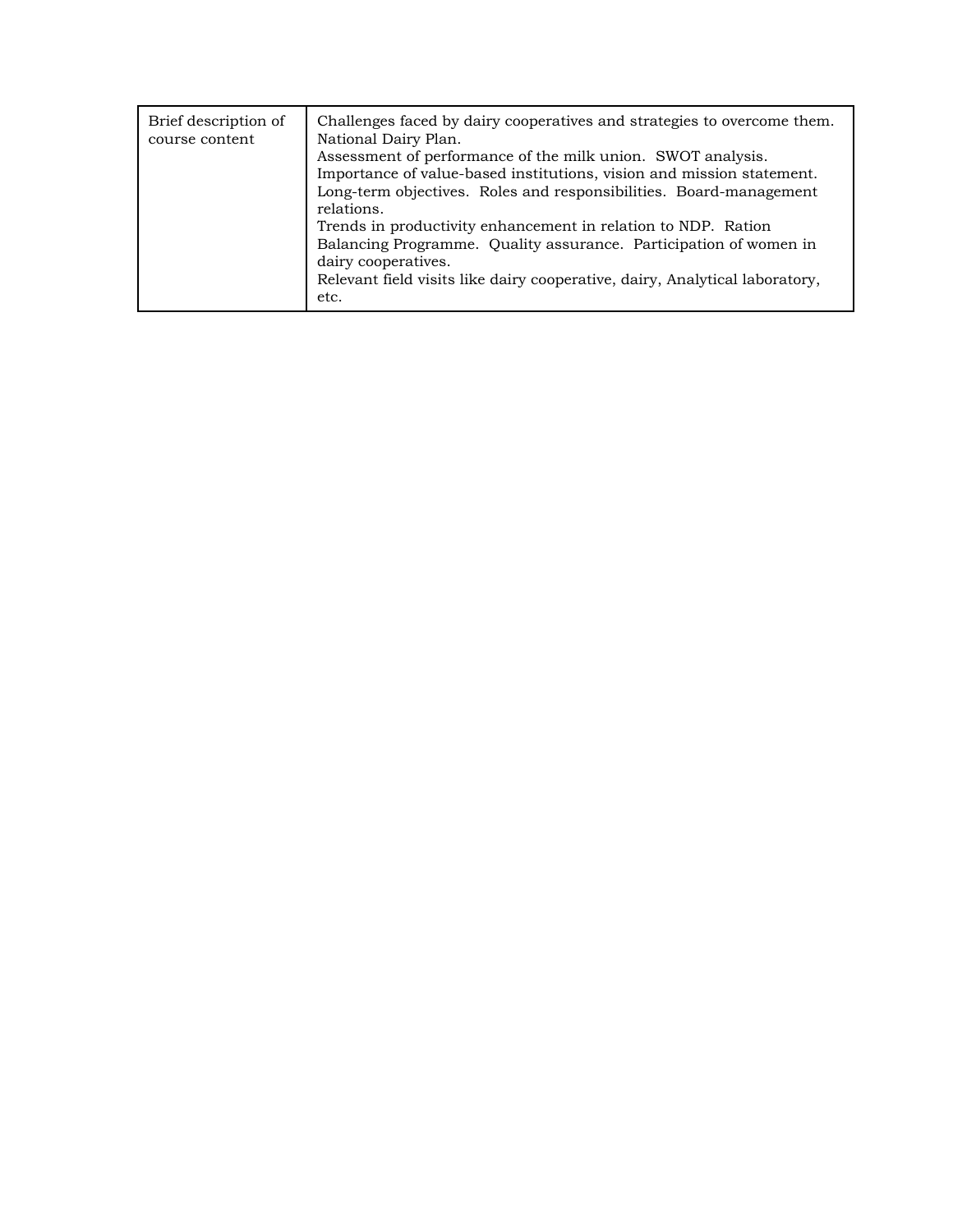| Assessment of performance of the milk union. SWOT analysis.<br>Importance of value-based institutions, vision and mission statement.<br>Long-term objectives. Roles and responsibilities. Board-management<br>relations.<br>Trends in productivity enhancement in relation to NDP. Ration<br>Balancing Programme. Quality assurance. Participation of women in<br>dairy cooperatives.<br>Relevant field visits like dairy cooperative, dairy, Analytical laboratory,<br>etc. | Brief description of<br>course content | Challenges faced by dairy cooperatives and strategies to overcome them.<br>National Dairy Plan. |
|------------------------------------------------------------------------------------------------------------------------------------------------------------------------------------------------------------------------------------------------------------------------------------------------------------------------------------------------------------------------------------------------------------------------------------------------------------------------------|----------------------------------------|-------------------------------------------------------------------------------------------------|
|------------------------------------------------------------------------------------------------------------------------------------------------------------------------------------------------------------------------------------------------------------------------------------------------------------------------------------------------------------------------------------------------------------------------------------------------------------------------------|----------------------------------------|-------------------------------------------------------------------------------------------------|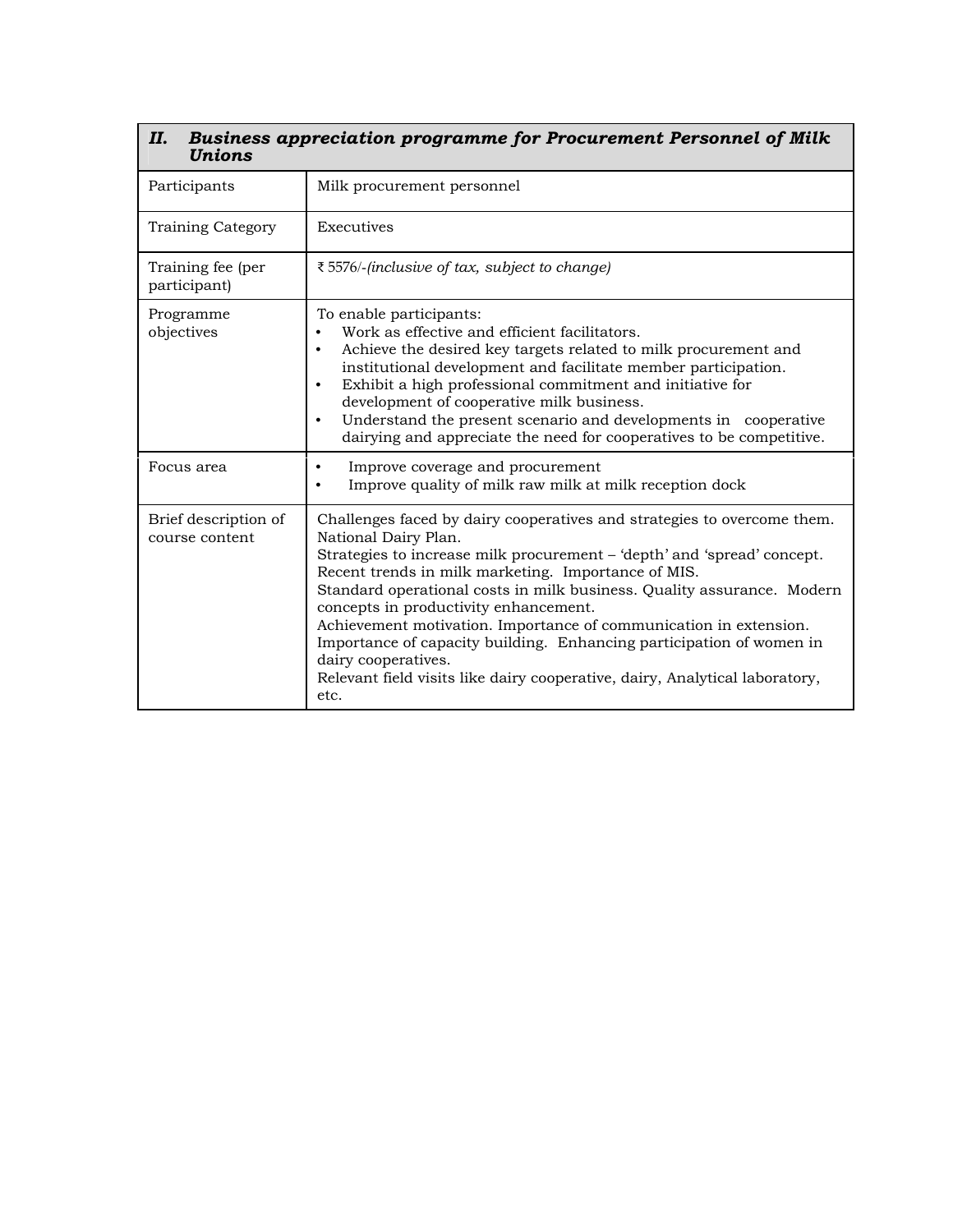| Business appreciation programme for Procurement Personnel of Milk<br>П.<br>Unions |                                                                                                                                                                                                                                                                                                                                                                                                                                                                                                                                                                                                                 |  |
|-----------------------------------------------------------------------------------|-----------------------------------------------------------------------------------------------------------------------------------------------------------------------------------------------------------------------------------------------------------------------------------------------------------------------------------------------------------------------------------------------------------------------------------------------------------------------------------------------------------------------------------------------------------------------------------------------------------------|--|
| Participants                                                                      | Milk procurement personnel                                                                                                                                                                                                                                                                                                                                                                                                                                                                                                                                                                                      |  |
| <b>Training Category</b>                                                          | Executives                                                                                                                                                                                                                                                                                                                                                                                                                                                                                                                                                                                                      |  |
| Training fee (per<br>participant)                                                 | ₹5576/-(inclusive of tax, subject to change)                                                                                                                                                                                                                                                                                                                                                                                                                                                                                                                                                                    |  |
| Programme<br>objectives                                                           | To enable participants:<br>Work as effective and efficient facilitators.<br>Achieve the desired key targets related to milk procurement and<br>institutional development and facilitate member participation.<br>Exhibit a high professional commitment and initiative for<br>development of cooperative milk business.<br>Understand the present scenario and developments in cooperative<br>$\bullet$<br>dairying and appreciate the need for cooperatives to be competitive.                                                                                                                                 |  |
| Focus area                                                                        | Improve coverage and procurement<br>Improve quality of milk raw milk at milk reception dock                                                                                                                                                                                                                                                                                                                                                                                                                                                                                                                     |  |
| Brief description of<br>course content                                            | Challenges faced by dairy cooperatives and strategies to overcome them.<br>National Dairy Plan.<br>Strategies to increase milk procurement – 'depth' and 'spread' concept.<br>Recent trends in milk marketing. Importance of MIS.<br>Standard operational costs in milk business. Quality assurance. Modern<br>concepts in productivity enhancement.<br>Achievement motivation. Importance of communication in extension.<br>Importance of capacity building. Enhancing participation of women in<br>dairy cooperatives.<br>Relevant field visits like dairy cooperative, dairy, Analytical laboratory,<br>etc. |  |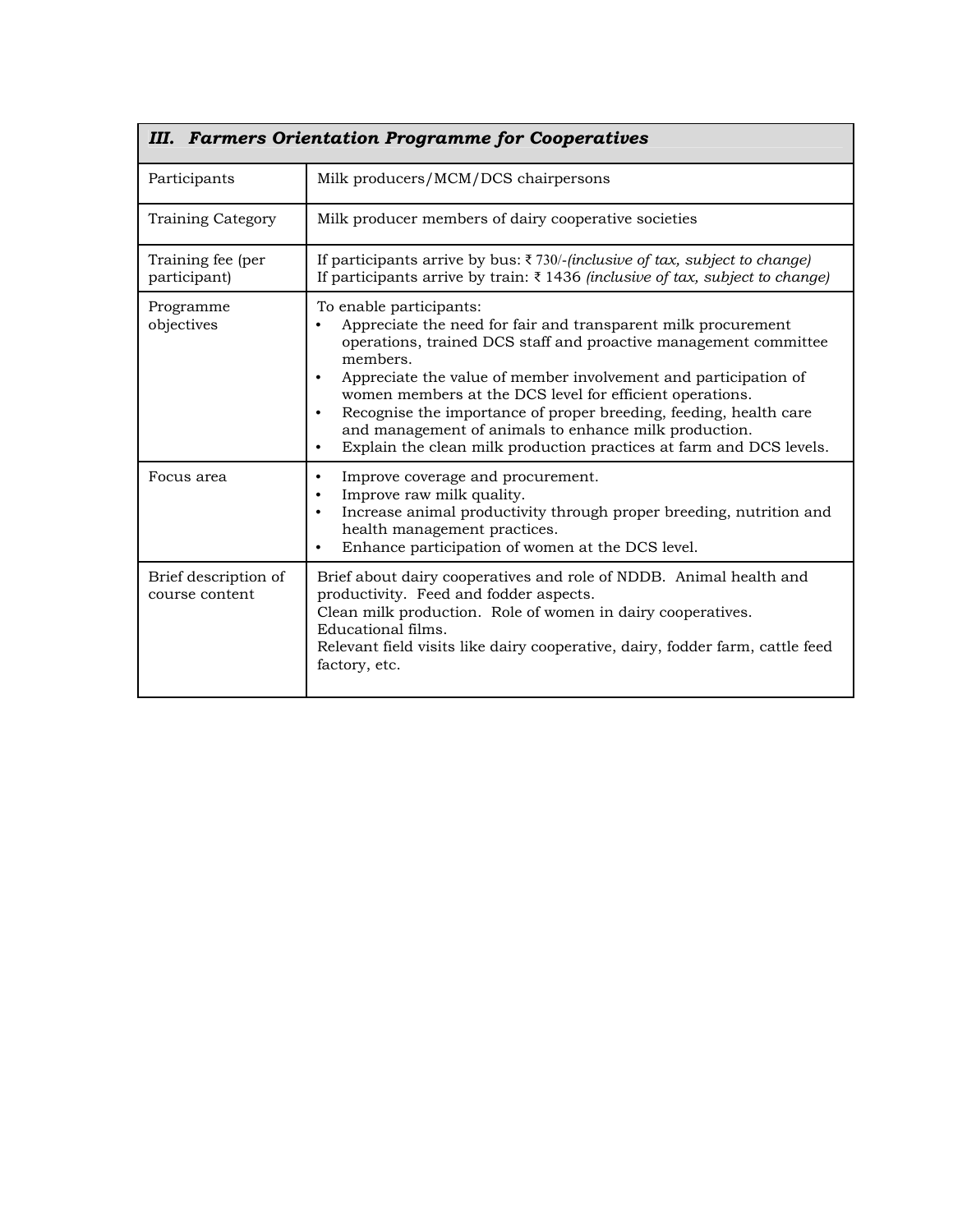| <b>III. Farmers Orientation Programme for Cooperatives</b> |                                                                                                                                                                                                                                                                                                                                                                                                                                                                                                                                        |  |
|------------------------------------------------------------|----------------------------------------------------------------------------------------------------------------------------------------------------------------------------------------------------------------------------------------------------------------------------------------------------------------------------------------------------------------------------------------------------------------------------------------------------------------------------------------------------------------------------------------|--|
| Participants                                               | Milk producers/MCM/DCS chairpersons                                                                                                                                                                                                                                                                                                                                                                                                                                                                                                    |  |
| Training Category                                          | Milk producer members of dairy cooperative societies                                                                                                                                                                                                                                                                                                                                                                                                                                                                                   |  |
| Training fee (per<br>participant)                          | If participants arrive by bus: $\bar{\tau}$ 730/- <i>(inclusive of tax, subject to change)</i><br>If participants arrive by train: $\bar{\tau}$ 1436 <i>(inclusive of tax, subject to change)</i>                                                                                                                                                                                                                                                                                                                                      |  |
| Programme<br>objectives                                    | To enable participants:<br>Appreciate the need for fair and transparent milk procurement<br>operations, trained DCS staff and proactive management committee<br>members.<br>Appreciate the value of member involvement and participation of<br>$\bullet$<br>women members at the DCS level for efficient operations.<br>Recognise the importance of proper breeding, feeding, health care<br>and management of animals to enhance milk production.<br>Explain the clean milk production practices at farm and DCS levels.<br>$\bullet$ |  |
| Focus area                                                 | Improve coverage and procurement.<br>$\bullet$<br>Improve raw milk quality.<br>Increase animal productivity through proper breeding, nutrition and<br>health management practices.<br>Enhance participation of women at the DCS level.                                                                                                                                                                                                                                                                                                 |  |
| Brief description of<br>course content                     | Brief about dairy cooperatives and role of NDDB. Animal health and<br>productivity. Feed and fodder aspects.<br>Clean milk production. Role of women in dairy cooperatives.<br>Educational films.<br>Relevant field visits like dairy cooperative, dairy, fodder farm, cattle feed<br>factory, etc.                                                                                                                                                                                                                                    |  |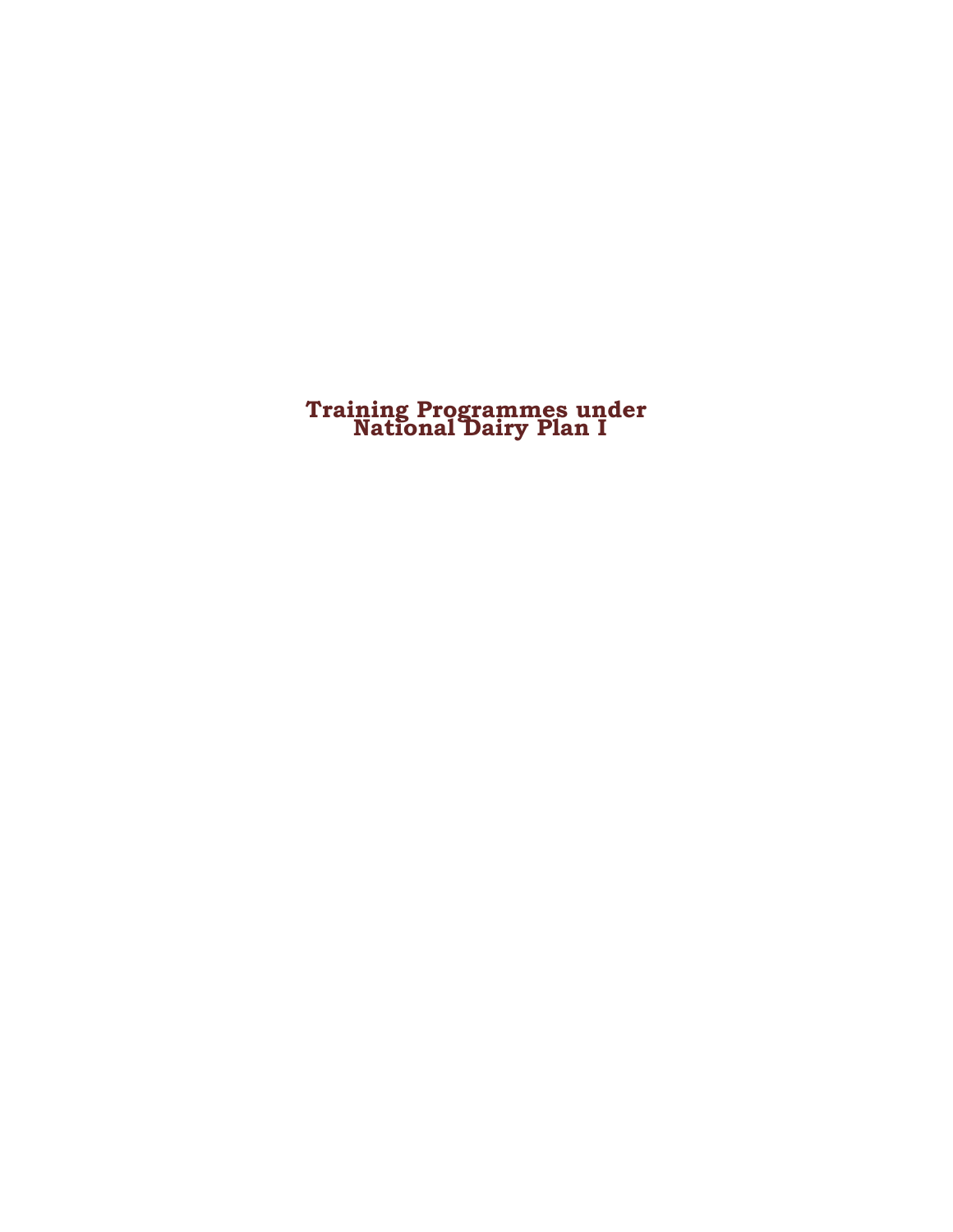# **Training Programmes under National Dairy Plan I**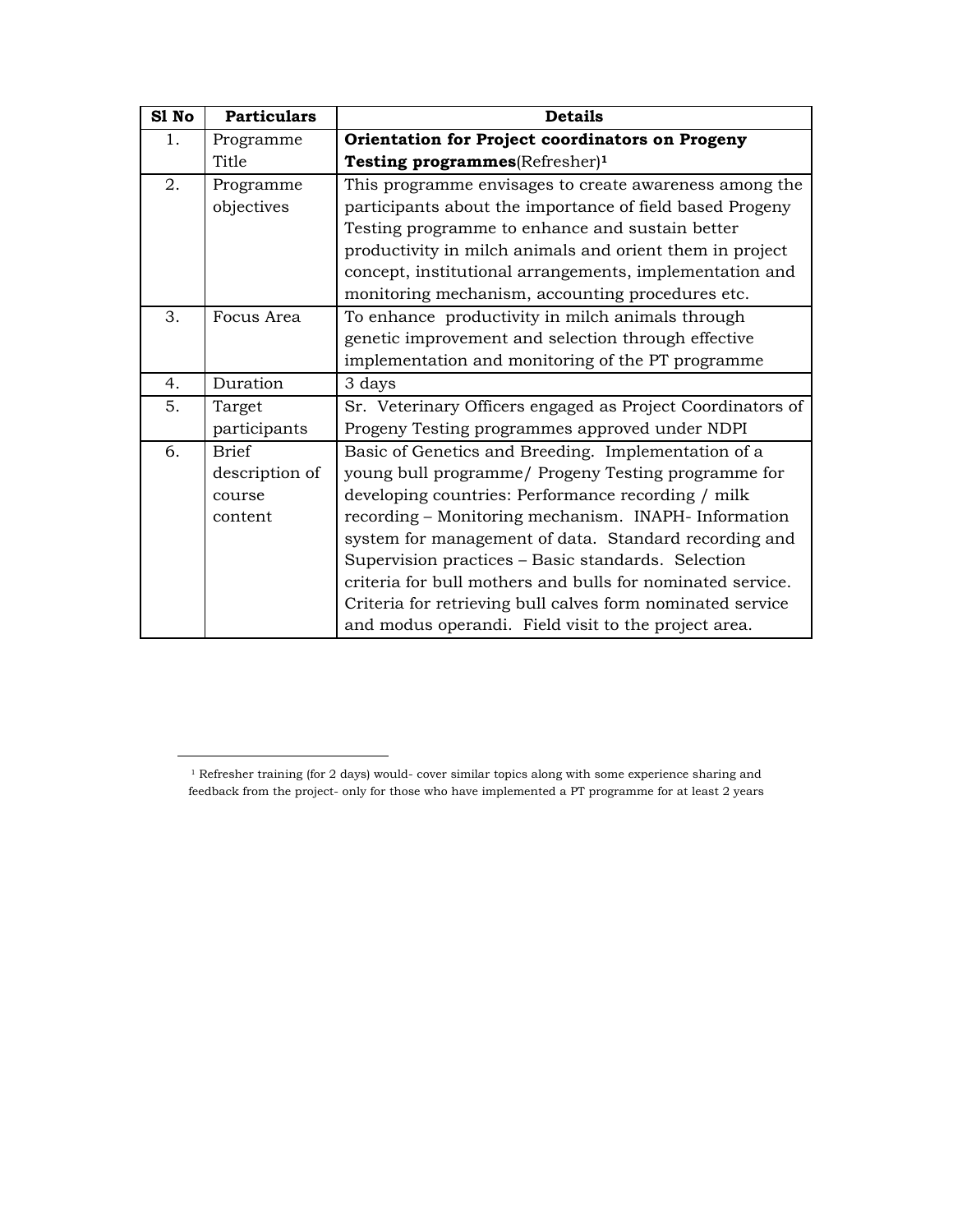| S1 No | <b>Particulars</b> | <b>Details</b>                                             |
|-------|--------------------|------------------------------------------------------------|
| 1.    | Programme          | Orientation for Project coordinators on Progeny            |
|       | Title              | Testing programmes(Refresher) <sup>1</sup>                 |
| 2.    | Programme          | This programme envisages to create awareness among the     |
|       | objectives         | participants about the importance of field based Progeny   |
|       |                    | Testing programme to enhance and sustain better            |
|       |                    | productivity in milch animals and orient them in project   |
|       |                    | concept, institutional arrangements, implementation and    |
|       |                    | monitoring mechanism, accounting procedures etc.           |
| 3.    | Focus Area         | To enhance productivity in milch animals through           |
|       |                    | genetic improvement and selection through effective        |
|       |                    | implementation and monitoring of the PT programme          |
| 4.    | Duration           | 3 days                                                     |
| 5.    | Target             | Sr. Veterinary Officers engaged as Project Coordinators of |
|       | participants       | Progeny Testing programmes approved under NDPI             |
| 6.    | <b>Brief</b>       | Basic of Genetics and Breeding. Implementation of a        |
|       | description of     | young bull programme/ Progeny Testing programme for        |
|       | course             | developing countries: Performance recording / milk         |
|       | content            | recording - Monitoring mechanism. INAPH-Information        |
|       |                    | system for management of data. Standard recording and      |
|       |                    | Supervision practices - Basic standards. Selection         |
|       |                    | criteria for bull mothers and bulls for nominated service. |
|       |                    | Criteria for retrieving bull calves form nominated service |
|       |                    | and modus operandi. Field visit to the project area.       |

 $^{\rm 1}$  Refresher training (for 2 days) would- cover similar topics along with some experience sharing and feedback from the project- only for those who have implemented a PT programme for at least 2 years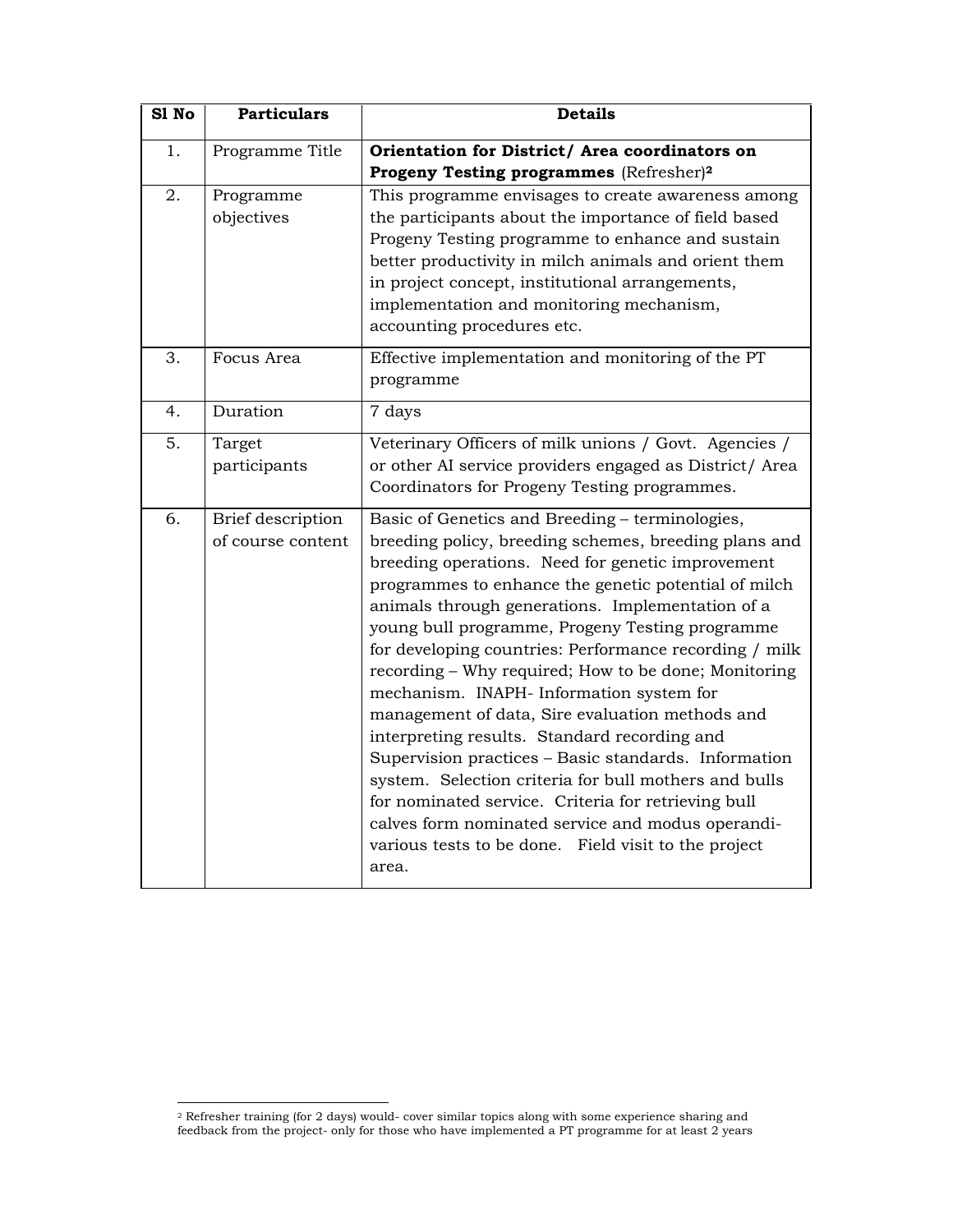| S1 No | <b>Particulars</b>                     | <b>Details</b>                                                                                                                                                                                                                                                                                                                                                                                                                                                                                                                                                                                                                                                                                                                                                                                                                                                                              |
|-------|----------------------------------------|---------------------------------------------------------------------------------------------------------------------------------------------------------------------------------------------------------------------------------------------------------------------------------------------------------------------------------------------------------------------------------------------------------------------------------------------------------------------------------------------------------------------------------------------------------------------------------------------------------------------------------------------------------------------------------------------------------------------------------------------------------------------------------------------------------------------------------------------------------------------------------------------|
| 1.    | Programme Title                        | Orientation for District/ Area coordinators on<br>Progeny Testing programmes (Refresher) <sup>2</sup>                                                                                                                                                                                                                                                                                                                                                                                                                                                                                                                                                                                                                                                                                                                                                                                       |
| 2.    | Programme<br>objectives                | This programme envisages to create awareness among<br>the participants about the importance of field based<br>Progeny Testing programme to enhance and sustain<br>better productivity in milch animals and orient them<br>in project concept, institutional arrangements,<br>implementation and monitoring mechanism,<br>accounting procedures etc.                                                                                                                                                                                                                                                                                                                                                                                                                                                                                                                                         |
| 3.    | Focus Area                             | Effective implementation and monitoring of the PT<br>programme                                                                                                                                                                                                                                                                                                                                                                                                                                                                                                                                                                                                                                                                                                                                                                                                                              |
| 4.    | Duration                               | 7 days                                                                                                                                                                                                                                                                                                                                                                                                                                                                                                                                                                                                                                                                                                                                                                                                                                                                                      |
| 5.    | Target<br>participants                 | Veterinary Officers of milk unions / Govt. Agencies /<br>or other AI service providers engaged as District/ Area<br>Coordinators for Progeny Testing programmes.                                                                                                                                                                                                                                                                                                                                                                                                                                                                                                                                                                                                                                                                                                                            |
| 6.    | Brief description<br>of course content | Basic of Genetics and Breeding - terminologies,<br>breeding policy, breeding schemes, breeding plans and<br>breeding operations. Need for genetic improvement<br>programmes to enhance the genetic potential of milch<br>animals through generations. Implementation of a<br>young bull programme, Progeny Testing programme<br>for developing countries: Performance recording / milk<br>recording - Why required; How to be done; Monitoring<br>mechanism. INAPH- Information system for<br>management of data, Sire evaluation methods and<br>interpreting results. Standard recording and<br>Supervision practices - Basic standards. Information<br>system. Selection criteria for bull mothers and bulls<br>for nominated service. Criteria for retrieving bull<br>calves form nominated service and modus operandi-<br>various tests to be done. Field visit to the project<br>area. |

l

<sup>&</sup>lt;sup>2</sup> Refresher training (for 2 days) would- cover similar topics along with some experience sharing and feedback from the project- only for those who have implemented a PT programme for at least 2 years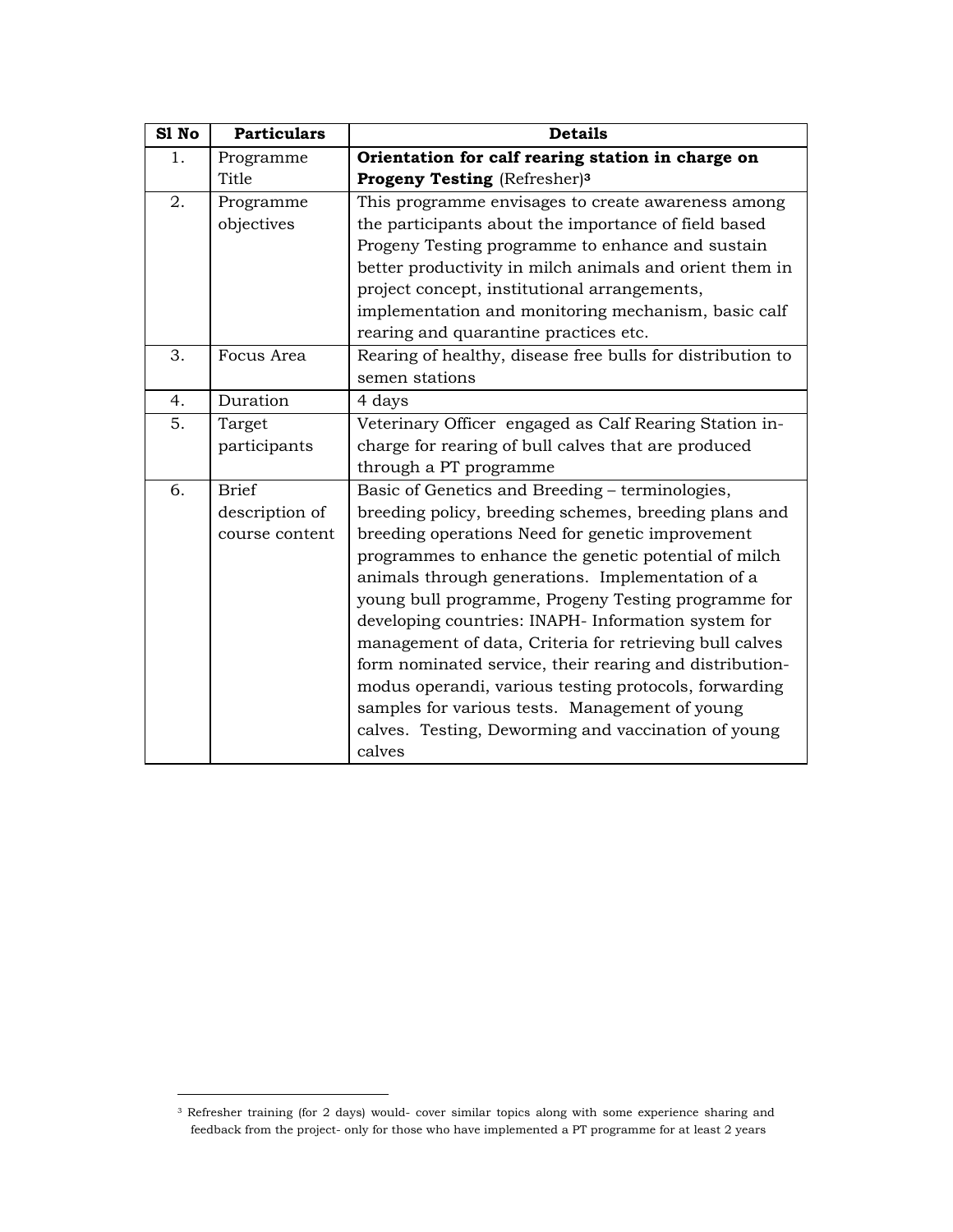| S1 No | <b>Particulars</b> | <b>Details</b>                                             |
|-------|--------------------|------------------------------------------------------------|
| 1.    | Programme          | Orientation for calf rearing station in charge on          |
|       | Title              | Progeny Testing (Refresher) <sup>3</sup>                   |
| 2.    | Programme          | This programme envisages to create awareness among         |
|       | objectives         | the participants about the importance of field based       |
|       |                    | Progeny Testing programme to enhance and sustain           |
|       |                    | better productivity in milch animals and orient them in    |
|       |                    | project concept, institutional arrangements,               |
|       |                    | implementation and monitoring mechanism, basic calf        |
|       |                    | rearing and quarantine practices etc.                      |
| 3.    | Focus Area         | Rearing of healthy, disease free bulls for distribution to |
|       |                    | semen stations                                             |
| 4.    | Duration           | 4 days                                                     |
| 5.    | Target             | Veterinary Officer engaged as Calf Rearing Station in-     |
|       | participants       | charge for rearing of bull calves that are produced        |
|       |                    | through a PT programme                                     |
| 6.    | <b>Brief</b>       | Basic of Genetics and Breeding - terminologies,            |
|       | description of     | breeding policy, breeding schemes, breeding plans and      |
|       | course content     | breeding operations Need for genetic improvement           |
|       |                    | programmes to enhance the genetic potential of milch       |
|       |                    | animals through generations. Implementation of a           |
|       |                    | young bull programme, Progeny Testing programme for        |
|       |                    | developing countries: INAPH- Information system for        |
|       |                    | management of data, Criteria for retrieving bull calves    |
|       |                    | form nominated service, their rearing and distribution-    |
|       |                    | modus operandi, various testing protocols, forwarding      |
|       |                    | samples for various tests. Management of young             |
|       |                    | calves. Testing, Deworming and vaccination of young        |
|       |                    | calves                                                     |

<sup>3</sup> Refresher training (for 2 days) would- cover similar topics along with some experience sharing and feedback from the project- only for those who have implemented a PT programme for at least 2 years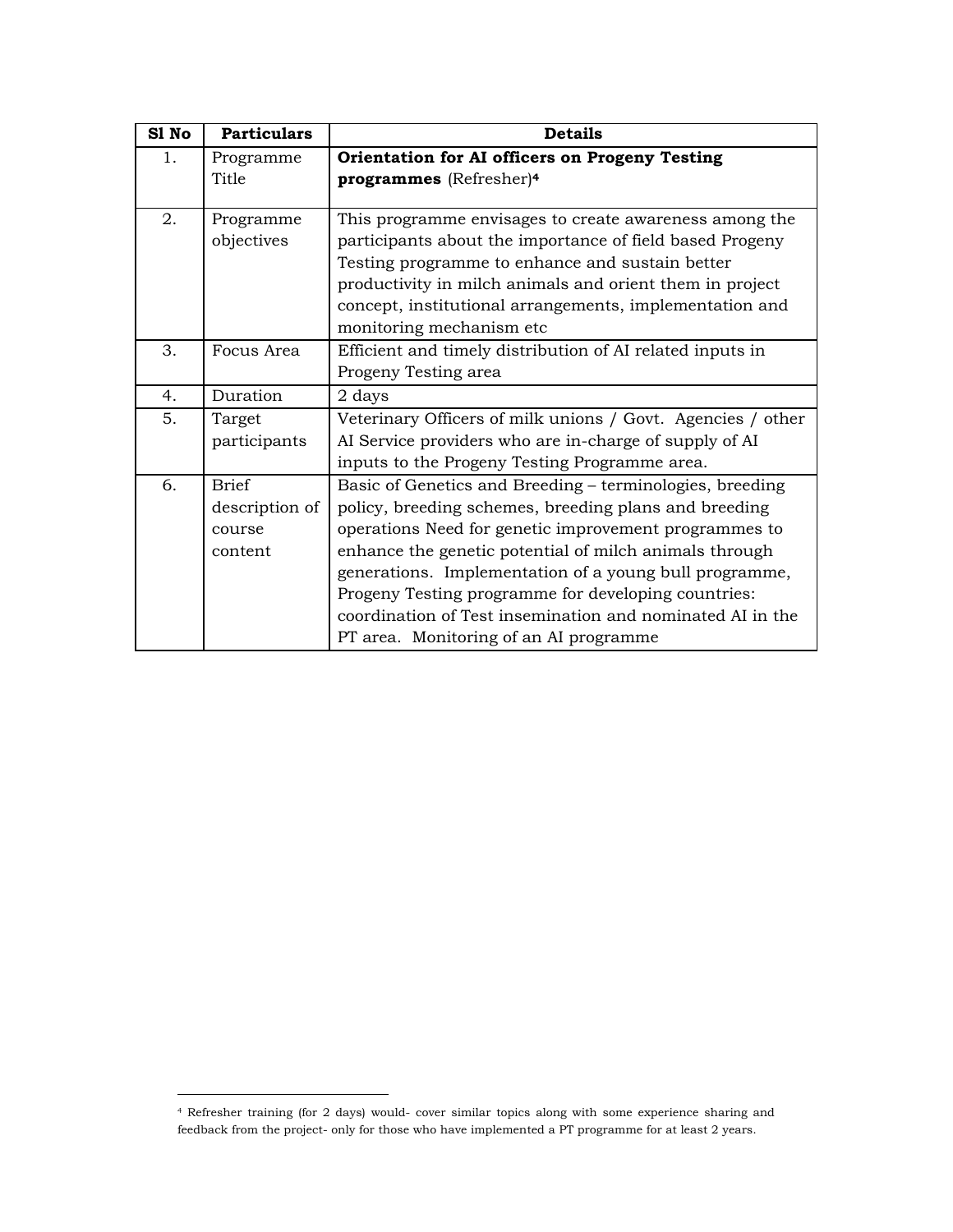| S1 No | <b>Particulars</b> | <b>Details</b>                                                                                                                                  |
|-------|--------------------|-------------------------------------------------------------------------------------------------------------------------------------------------|
| 1.    | Programme          | Orientation for AI officers on Progeny Testing                                                                                                  |
|       | Title              | programmes (Refresher) <sup>4</sup>                                                                                                             |
| 2.    | Programme          | This programme envisages to create awareness among the                                                                                          |
|       | objectives         | participants about the importance of field based Progeny<br>Testing programme to enhance and sustain better                                     |
|       |                    | productivity in milch animals and orient them in project<br>concept, institutional arrangements, implementation and<br>monitoring mechanism etc |
| 3.    | Focus Area         | Efficient and timely distribution of AI related inputs in<br>Progeny Testing area                                                               |
| 4.    | Duration           | 2 days                                                                                                                                          |
| 5.    | Target             | Veterinary Officers of milk unions / Govt. Agencies / other                                                                                     |
|       | participants       | AI Service providers who are in-charge of supply of AI                                                                                          |
|       |                    | inputs to the Progeny Testing Programme area.                                                                                                   |
| 6.    | <b>Brief</b>       | Basic of Genetics and Breeding – terminologies, breeding                                                                                        |
|       | description of     | policy, breeding schemes, breeding plans and breeding                                                                                           |
|       | course             | operations Need for genetic improvement programmes to                                                                                           |
|       | content            | enhance the genetic potential of milch animals through                                                                                          |
|       |                    | generations. Implementation of a young bull programme,                                                                                          |
|       |                    | Progeny Testing programme for developing countries:                                                                                             |
|       |                    | coordination of Test insemination and nominated AI in the                                                                                       |
|       |                    | PT area. Monitoring of an AI programme                                                                                                          |

<sup>4</sup> Refresher training (for 2 days) would- cover similar topics along with some experience sharing and feedback from the project- only for those who have implemented a PT programme for at least 2 years.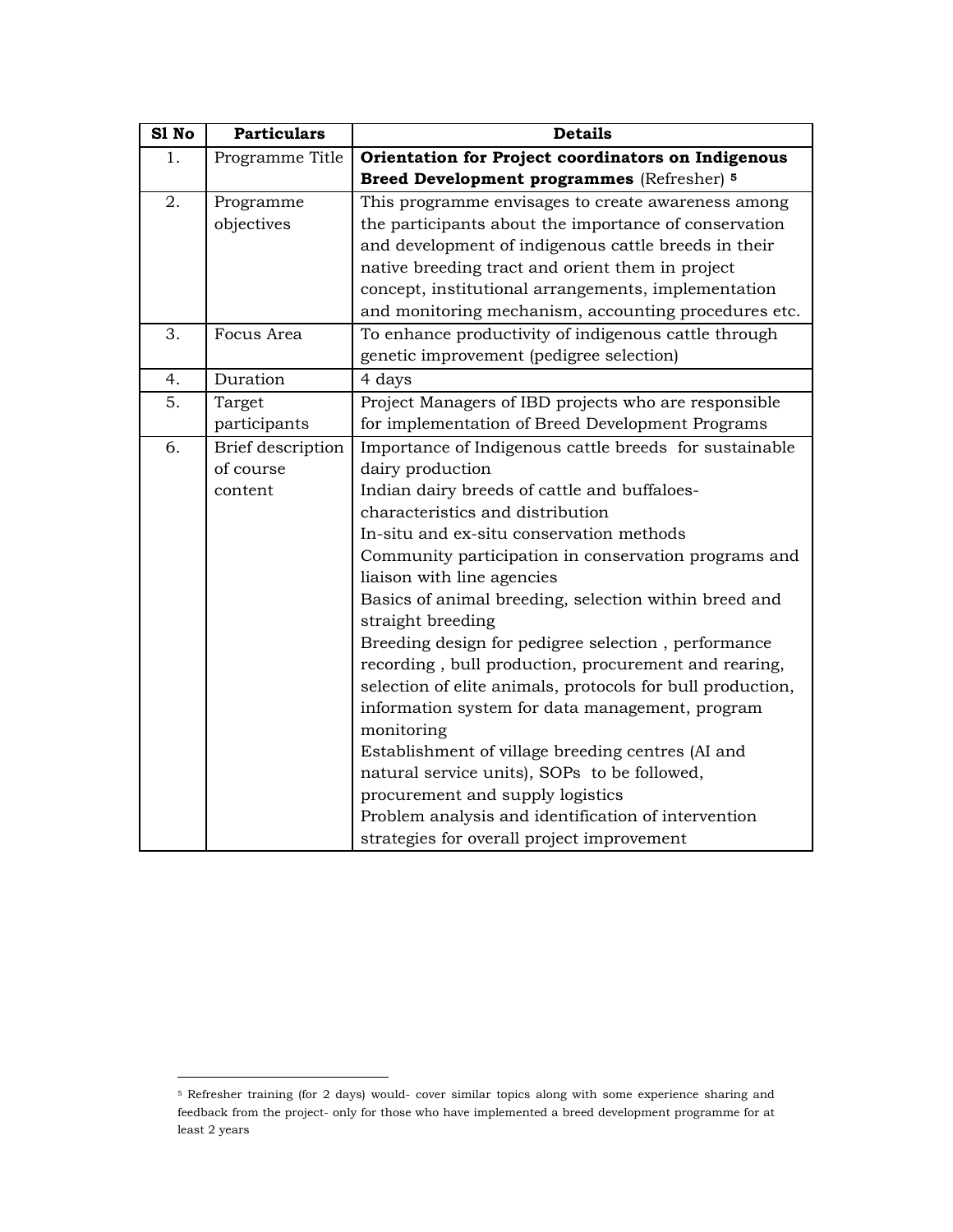| S1 No | <b>Particulars</b>       | <b>Details</b>                                             |
|-------|--------------------------|------------------------------------------------------------|
| 1.    | Programme Title          | Orientation for Project coordinators on Indigenous         |
|       |                          | Breed Development programmes (Refresher) 5                 |
| 2.    | Programme                | This programme envisages to create awareness among         |
|       | objectives               | the participants about the importance of conservation      |
|       |                          | and development of indigenous cattle breeds in their       |
|       |                          | native breeding tract and orient them in project           |
|       |                          | concept, institutional arrangements, implementation        |
|       |                          | and monitoring mechanism, accounting procedures etc.       |
| 3.    | Focus Area               | To enhance productivity of indigenous cattle through       |
|       |                          | genetic improvement (pedigree selection)                   |
| 4.    | Duration                 | 4 days                                                     |
| 5.    | Target                   | Project Managers of IBD projects who are responsible       |
|       | participants             | for implementation of Breed Development Programs           |
| 6.    | <b>Brief</b> description | Importance of Indigenous cattle breeds for sustainable     |
|       | of course                | dairy production                                           |
|       | content                  | Indian dairy breeds of cattle and buffaloes-               |
|       |                          | characteristics and distribution                           |
|       |                          | In-situ and ex-situ conservation methods                   |
|       |                          | Community participation in conservation programs and       |
|       |                          | liaison with line agencies                                 |
|       |                          | Basics of animal breeding, selection within breed and      |
|       |                          | straight breeding                                          |
|       |                          | Breeding design for pedigree selection, performance        |
|       |                          | recording, bull production, procurement and rearing,       |
|       |                          | selection of elite animals, protocols for bull production, |
|       |                          | information system for data management, program            |
|       |                          | monitoring                                                 |
|       |                          | Establishment of village breeding centres (AI and          |
|       |                          | natural service units), SOPs to be followed,               |
|       |                          | procurement and supply logistics                           |
|       |                          | Problem analysis and identification of intervention        |
|       |                          | strategies for overall project improvement                 |

<sup>5</sup> Refresher training (for 2 days) would- cover similar topics along with some experience sharing and feedback from the project- only for those who have implemented a breed development programme for at least 2 years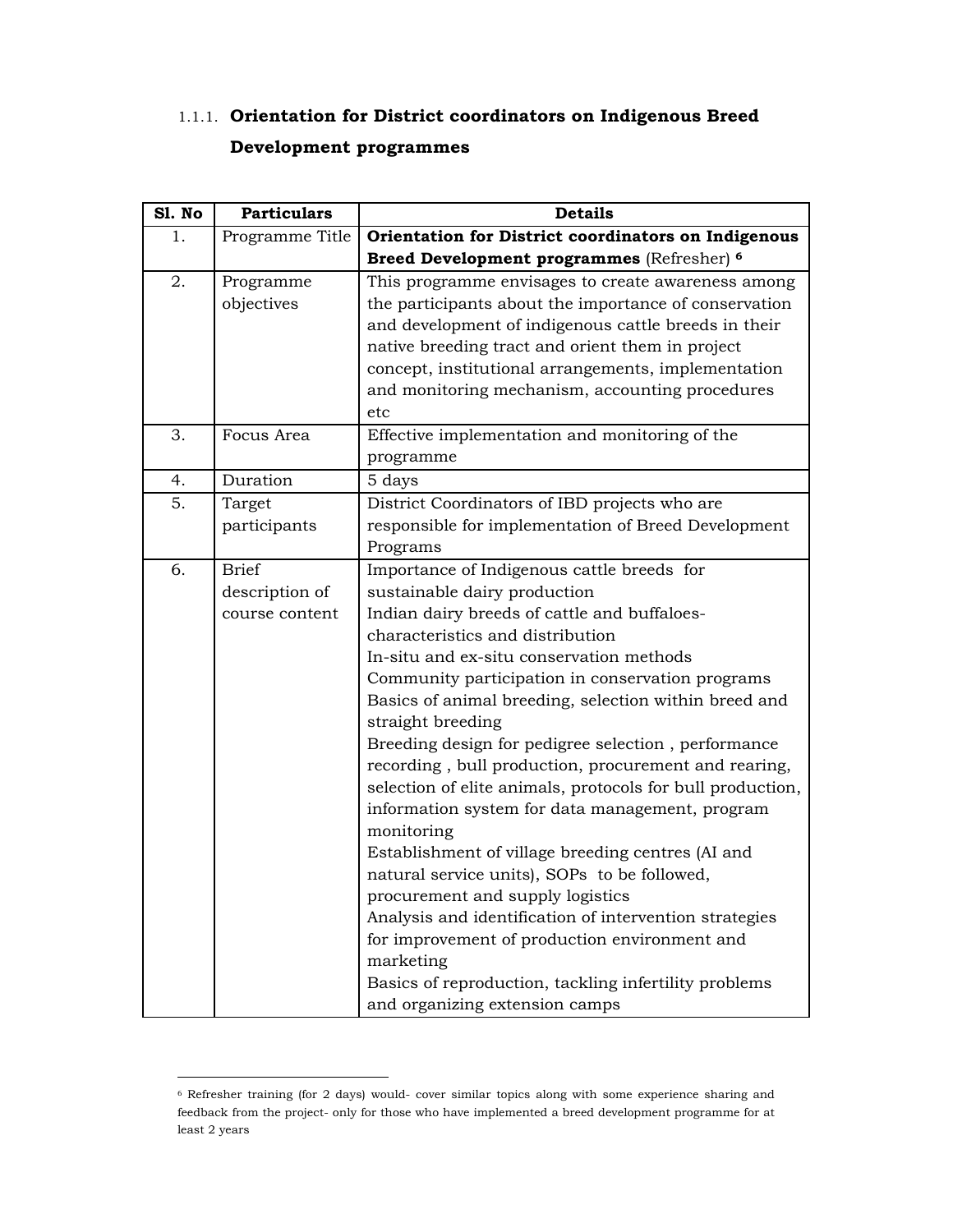#### 1.1.1. **Orientation for District coordinators on Indigenous Breed Development programmes**

| Sl. No | <b>Particulars</b> | <b>Details</b>                                             |
|--------|--------------------|------------------------------------------------------------|
| 1.     | Programme Title    | Orientation for District coordinators on Indigenous        |
|        |                    | Breed Development programmes (Refresher) 6                 |
| 2.     | Programme          | This programme envisages to create awareness among         |
|        | objectives         | the participants about the importance of conservation      |
|        |                    | and development of indigenous cattle breeds in their       |
|        |                    | native breeding tract and orient them in project           |
|        |                    | concept, institutional arrangements, implementation        |
|        |                    | and monitoring mechanism, accounting procedures            |
|        |                    | etc                                                        |
| 3.     | Focus Area         | Effective implementation and monitoring of the             |
|        |                    | programme                                                  |
| 4.     | Duration           | 5 days                                                     |
| 5.     | Target             | District Coordinators of IBD projects who are              |
|        | participants       | responsible for implementation of Breed Development        |
|        |                    | Programs                                                   |
| 6.     | <b>Brief</b>       | Importance of Indigenous cattle breeds for                 |
|        | description of     | sustainable dairy production                               |
|        | course content     | Indian dairy breeds of cattle and buffaloes-               |
|        |                    | characteristics and distribution                           |
|        |                    | In-situ and ex-situ conservation methods                   |
|        |                    | Community participation in conservation programs           |
|        |                    | Basics of animal breeding, selection within breed and      |
|        |                    | straight breeding                                          |
|        |                    | Breeding design for pedigree selection, performance        |
|        |                    | recording, bull production, procurement and rearing,       |
|        |                    | selection of elite animals, protocols for bull production, |
|        |                    | information system for data management, program            |
|        |                    | monitoring                                                 |
|        |                    | Establishment of village breeding centres (AI and          |
|        |                    | natural service units), SOPs to be followed,               |
|        |                    | procurement and supply logistics                           |
|        |                    | Analysis and identification of intervention strategies     |
|        |                    | for improvement of production environment and              |
|        |                    | marketing                                                  |
|        |                    | Basics of reproduction, tackling infertility problems      |
|        |                    | and organizing extension camps                             |

<sup>6</sup> Refresher training (for 2 days) would- cover similar topics along with some experience sharing and feedback from the project- only for those who have implemented a breed development programme for at least 2 years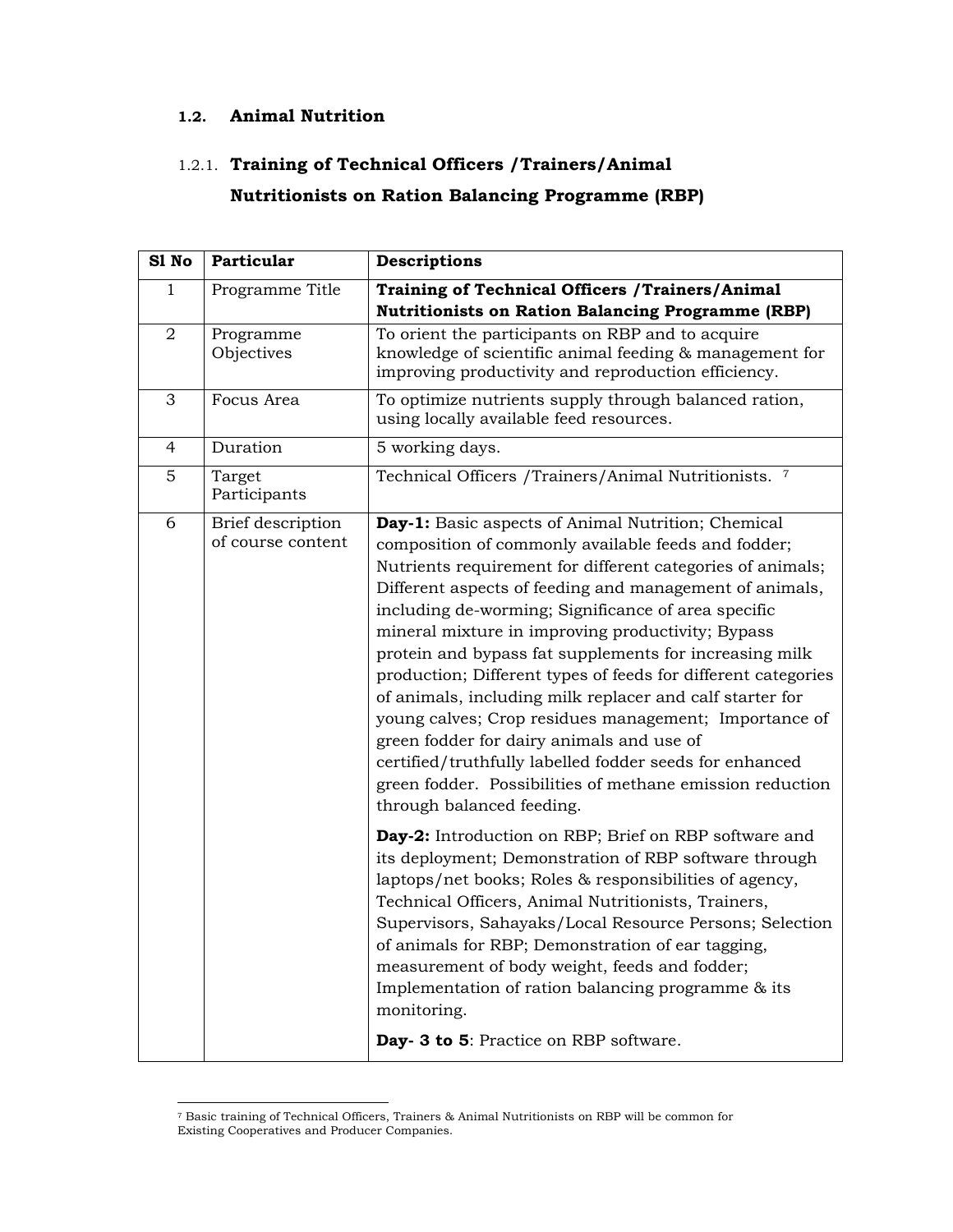#### **1.2. Animal Nutrition**

#### 1.2.1. **Training of Technical Officers /Trainers/Animal**

#### **Nutritionists on Ration Balancing Programme (RBP)**

| S1 No        | Particular                             | <b>Descriptions</b>                                                                                                                                                                                                                                                                                                                                                                                                                                                                                                                                                                                                                                                                                                                                                                              |
|--------------|----------------------------------------|--------------------------------------------------------------------------------------------------------------------------------------------------------------------------------------------------------------------------------------------------------------------------------------------------------------------------------------------------------------------------------------------------------------------------------------------------------------------------------------------------------------------------------------------------------------------------------------------------------------------------------------------------------------------------------------------------------------------------------------------------------------------------------------------------|
| $\mathbf{1}$ | Programme Title                        | <b>Training of Technical Officers / Trainers/Animal</b><br><b>Nutritionists on Ration Balancing Programme (RBP)</b>                                                                                                                                                                                                                                                                                                                                                                                                                                                                                                                                                                                                                                                                              |
| $\sqrt{2}$   | Programme<br>Objectives                | To orient the participants on RBP and to acquire<br>knowledge of scientific animal feeding & management for<br>improving productivity and reproduction efficiency.                                                                                                                                                                                                                                                                                                                                                                                                                                                                                                                                                                                                                               |
| 3            | Focus Area                             | To optimize nutrients supply through balanced ration,<br>using locally available feed resources.                                                                                                                                                                                                                                                                                                                                                                                                                                                                                                                                                                                                                                                                                                 |
| 4            | Duration                               | 5 working days.                                                                                                                                                                                                                                                                                                                                                                                                                                                                                                                                                                                                                                                                                                                                                                                  |
| 5            | Target<br>Participants                 | Technical Officers /Trainers/Animal Nutritionists. 7                                                                                                                                                                                                                                                                                                                                                                                                                                                                                                                                                                                                                                                                                                                                             |
| 6            | Brief description<br>of course content | Day-1: Basic aspects of Animal Nutrition; Chemical<br>composition of commonly available feeds and fodder;<br>Nutrients requirement for different categories of animals;<br>Different aspects of feeding and management of animals,<br>including de-worming; Significance of area specific<br>mineral mixture in improving productivity; Bypass<br>protein and bypass fat supplements for increasing milk<br>production; Different types of feeds for different categories<br>of animals, including milk replacer and calf starter for<br>young calves; Crop residues management; Importance of<br>green fodder for dairy animals and use of<br>certified/truthfully labelled fodder seeds for enhanced<br>green fodder. Possibilities of methane emission reduction<br>through balanced feeding. |
|              |                                        | Day-2: Introduction on RBP; Brief on RBP software and<br>its deployment; Demonstration of RBP software through<br>laptops/net books; Roles & responsibilities of agency,<br>Technical Officers, Animal Nutritionists, Trainers,<br>Supervisors, Sahayaks/Local Resource Persons; Selection<br>of animals for RBP; Demonstration of ear tagging,<br>measurement of body weight, feeds and fodder;<br>Implementation of ration balancing programme & its<br>monitoring.<br>Day- 3 to 5: Practice on RBP software.                                                                                                                                                                                                                                                                                  |

<sup>7</sup> Basic training of Technical Officers, Trainers & Animal Nutritionists on RBP will be common for Existing Cooperatives and Producer Companies.

l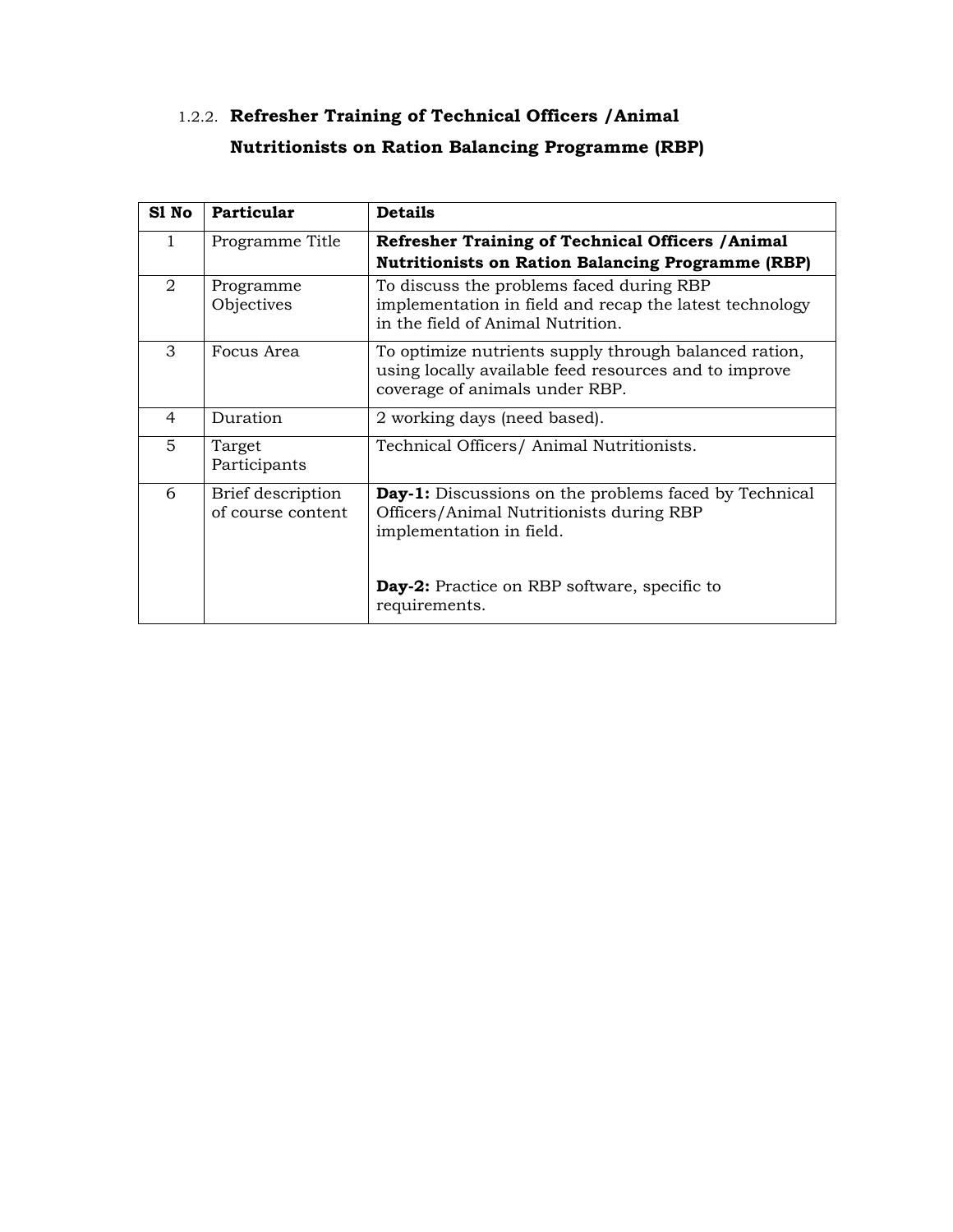## 1.2.2. **Refresher Training of Technical Officers /Animal Nutritionists on Ration Balancing Programme (RBP)**

| S1 No          | Particular                             | <b>Details</b>                                                                                                                                   |
|----------------|----------------------------------------|--------------------------------------------------------------------------------------------------------------------------------------------------|
| 1              | Programme Title                        | <b>Refresher Training of Technical Officers / Animal</b><br><b>Nutritionists on Ration Balancing Programme (RBP)</b>                             |
| $\overline{2}$ | Programme<br>Objectives                | To discuss the problems faced during RBP<br>implementation in field and recap the latest technology<br>in the field of Animal Nutrition.         |
| 3              | Focus Area                             | To optimize nutrients supply through balanced ration,<br>using locally available feed resources and to improve<br>coverage of animals under RBP. |
| 4              | Duration                               | 2 working days (need based).                                                                                                                     |
| 5              | Target<br>Participants                 | Technical Officers/ Animal Nutritionists.                                                                                                        |
| 6              | Brief description<br>of course content | <b>Day-1:</b> Discussions on the problems faced by Technical<br>Officers/Animal Nutritionists during RBP<br>implementation in field.             |
|                |                                        | <b>Day-2:</b> Practice on RBP software, specific to<br>requirements.                                                                             |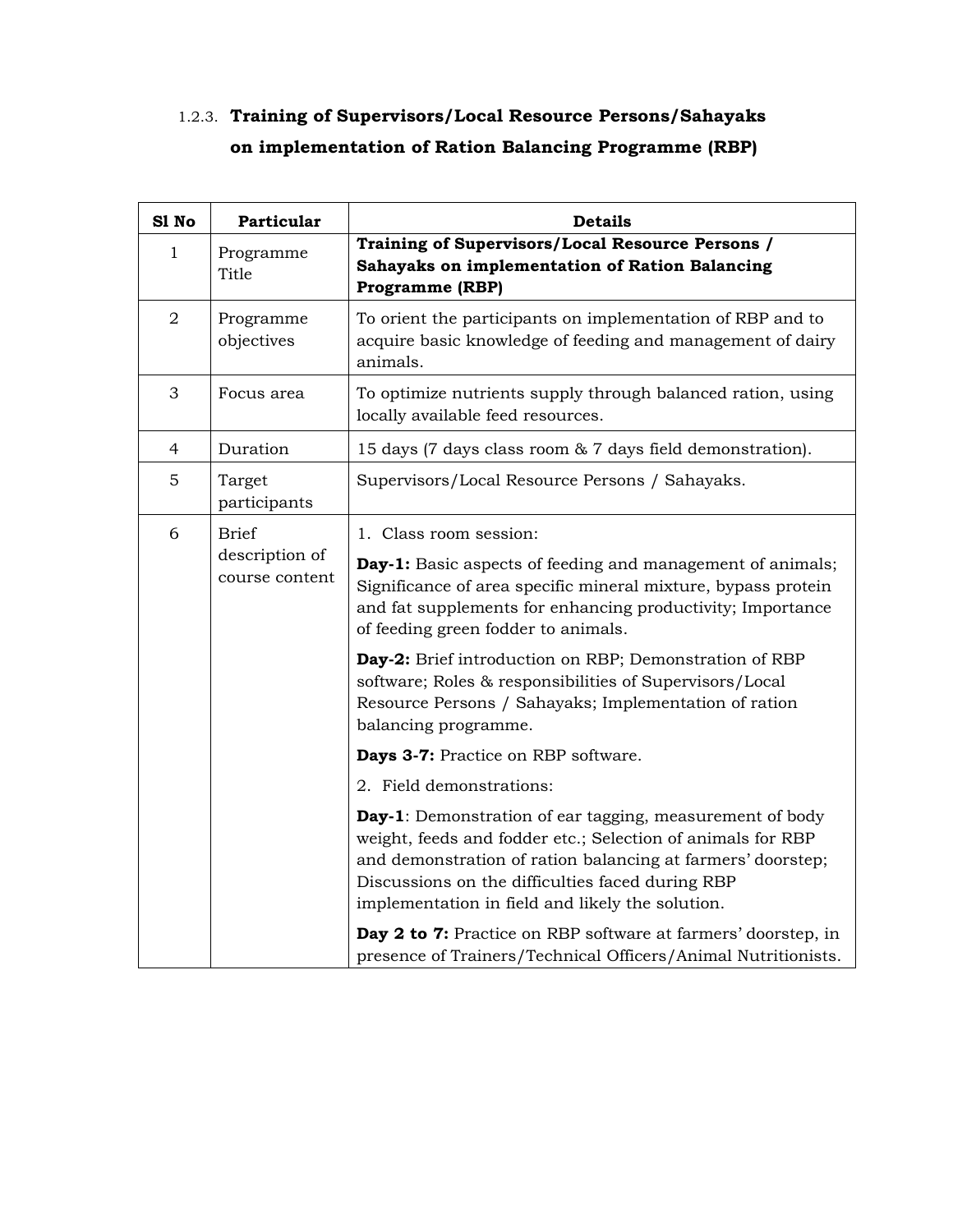#### 1.2.3. **Training of Supervisors/Local Resource Persons/Sahayaks on implementation of Ration Balancing Programme (RBP)**

| S1 No          | Particular                       | <b>Details</b>                                                                                                                                                                                                                                                                                 |
|----------------|----------------------------------|------------------------------------------------------------------------------------------------------------------------------------------------------------------------------------------------------------------------------------------------------------------------------------------------|
| $\mathbf{1}$   | Programme<br>Title               | Training of Supervisors/Local Resource Persons /<br>Sahayaks on implementation of Ration Balancing<br><b>Programme (RBP)</b>                                                                                                                                                                   |
| $\overline{2}$ | Programme<br>objectives          | To orient the participants on implementation of RBP and to<br>acquire basic knowledge of feeding and management of dairy<br>animals.                                                                                                                                                           |
| 3              | Focus area                       | To optimize nutrients supply through balanced ration, using<br>locally available feed resources.                                                                                                                                                                                               |
| 4              | Duration                         | 15 days (7 days class room & 7 days field demonstration).                                                                                                                                                                                                                                      |
| 5              | Target<br>participants           | Supervisors/Local Resource Persons / Sahayaks.                                                                                                                                                                                                                                                 |
| 6              | Brief                            | 1. Class room session:                                                                                                                                                                                                                                                                         |
|                | description of<br>course content | Day-1: Basic aspects of feeding and management of animals;<br>Significance of area specific mineral mixture, bypass protein<br>and fat supplements for enhancing productivity; Importance<br>of feeding green fodder to animals.                                                               |
|                |                                  | Day-2: Brief introduction on RBP; Demonstration of RBP<br>software; Roles & responsibilities of Supervisors/Local<br>Resource Persons / Sahayaks; Implementation of ration<br>balancing programme.                                                                                             |
|                |                                  | Days 3-7: Practice on RBP software.                                                                                                                                                                                                                                                            |
|                |                                  | 2. Field demonstrations:                                                                                                                                                                                                                                                                       |
|                |                                  | Day-1: Demonstration of ear tagging, measurement of body<br>weight, feeds and fodder etc.; Selection of animals for RBP<br>and demonstration of ration balancing at farmers' doorstep;<br>Discussions on the difficulties faced during RBP<br>implementation in field and likely the solution. |
|                |                                  | Day 2 to 7: Practice on RBP software at farmers' doorstep, in<br>presence of Trainers/Technical Officers/Animal Nutritionists.                                                                                                                                                                 |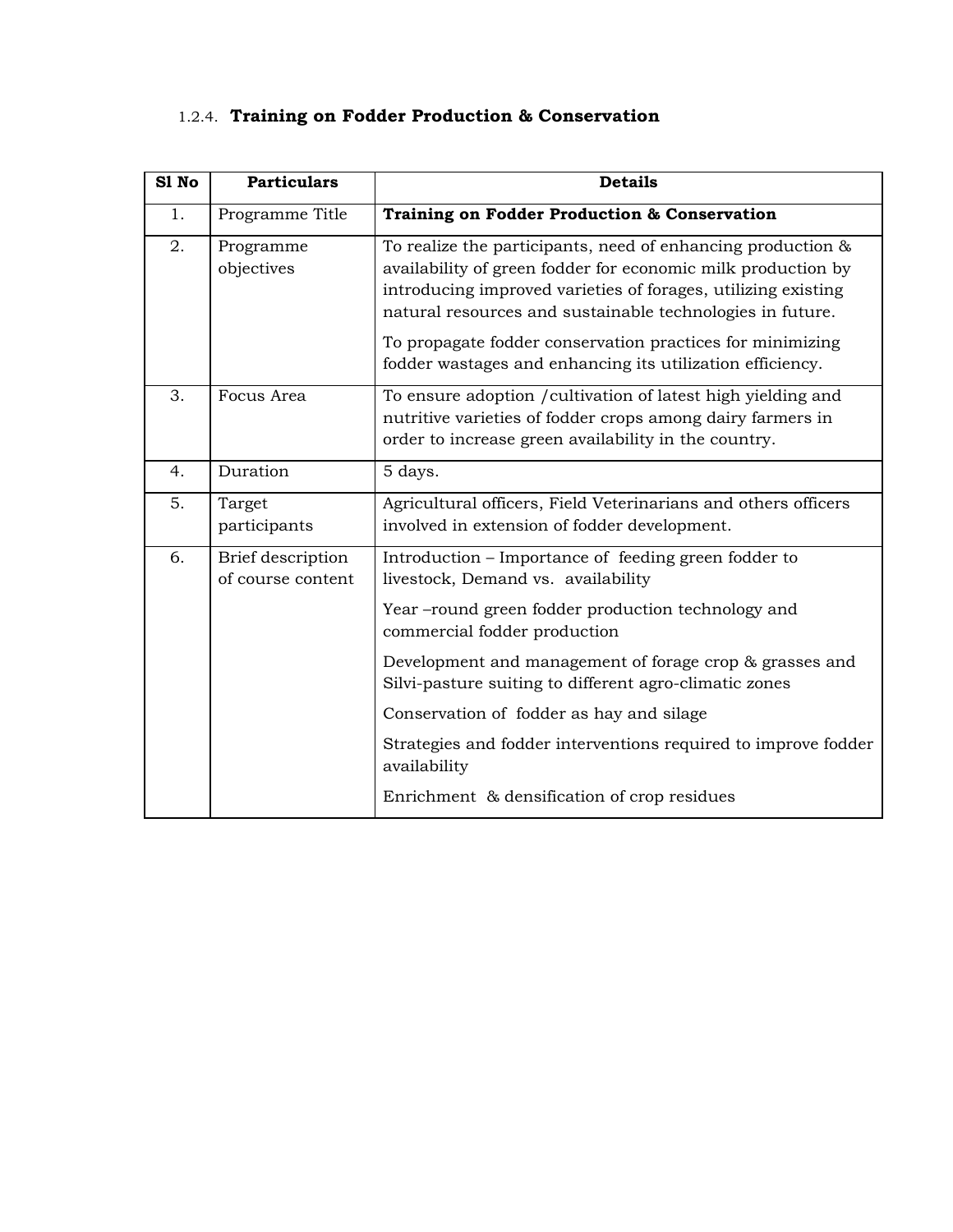## 1.2.4. **Training on Fodder Production & Conservation**

| S1 No | <b>Particulars</b>                     | <b>Details</b>                                                                                                                                                                                                                                                                                                                                                                      |
|-------|----------------------------------------|-------------------------------------------------------------------------------------------------------------------------------------------------------------------------------------------------------------------------------------------------------------------------------------------------------------------------------------------------------------------------------------|
| 1.    | Programme Title                        | Training on Fodder Production & Conservation                                                                                                                                                                                                                                                                                                                                        |
| 2.    | Programme<br>objectives                | To realize the participants, need of enhancing production &<br>availability of green fodder for economic milk production by<br>introducing improved varieties of forages, utilizing existing<br>natural resources and sustainable technologies in future.<br>To propagate fodder conservation practices for minimizing<br>fodder wastages and enhancing its utilization efficiency. |
| 3.    | Focus Area                             | To ensure adoption / cultivation of latest high yielding and<br>nutritive varieties of fodder crops among dairy farmers in<br>order to increase green availability in the country.                                                                                                                                                                                                  |
| 4.    | Duration                               | 5 days.                                                                                                                                                                                                                                                                                                                                                                             |
| 5.    | Target<br>participants                 | Agricultural officers, Field Veterinarians and others officers<br>involved in extension of fodder development.                                                                                                                                                                                                                                                                      |
| 6.    | Brief description<br>of course content | Introduction – Importance of feeding green fodder to<br>livestock, Demand vs. availability                                                                                                                                                                                                                                                                                          |
|       |                                        | Year-round green fodder production technology and<br>commercial fodder production                                                                                                                                                                                                                                                                                                   |
|       |                                        | Development and management of forage crop & grasses and<br>Silvi-pasture suiting to different agro-climatic zones                                                                                                                                                                                                                                                                   |
|       |                                        | Conservation of fodder as hay and silage                                                                                                                                                                                                                                                                                                                                            |
|       |                                        | Strategies and fodder interventions required to improve fodder<br>availability                                                                                                                                                                                                                                                                                                      |
|       |                                        | Enrichment & densification of crop residues                                                                                                                                                                                                                                                                                                                                         |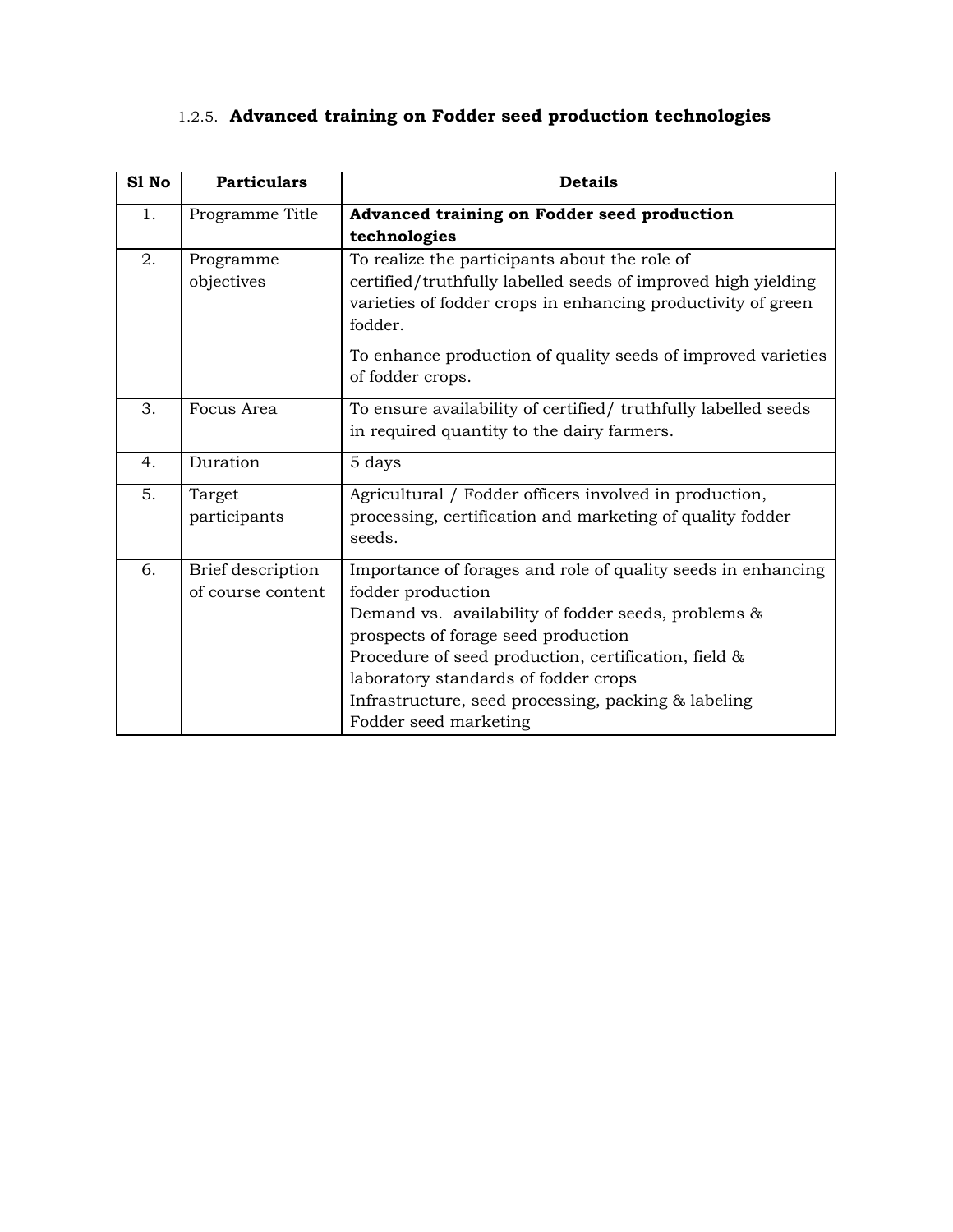## 1.2.5. **Advanced training on Fodder seed production technologies**

| S1 No | <b>Particulars</b> | <b>Details</b>                                                                   |
|-------|--------------------|----------------------------------------------------------------------------------|
| 1.    | Programme Title    | Advanced training on Fodder seed production                                      |
|       |                    | technologies                                                                     |
| 2.    | Programme          | To realize the participants about the role of                                    |
|       | objectives         | certified/truthfully labelled seeds of improved high yielding                    |
|       |                    | varieties of fodder crops in enhancing productivity of green<br>fodder.          |
|       |                    | To enhance production of quality seeds of improved varieties<br>of fodder crops. |
| 3.    | Focus Area         | To ensure availability of certified/ truthfully labelled seeds                   |
|       |                    | in required quantity to the dairy farmers.                                       |
| 4.    | Duration           | 5 days                                                                           |
| 5.    | Target             | Agricultural / Fodder officers involved in production,                           |
|       | participants       | processing, certification and marketing of quality fodder                        |
|       |                    | seeds.                                                                           |
| 6.    | Brief description  | Importance of forages and role of quality seeds in enhancing                     |
|       | of course content  | fodder production                                                                |
|       |                    | Demand vs. availability of fodder seeds, problems &                              |
|       |                    | prospects of forage seed production                                              |
|       |                    | Procedure of seed production, certification, field &                             |
|       |                    | laboratory standards of fodder crops                                             |
|       |                    | Infrastructure, seed processing, packing & labeling                              |
|       |                    | Fodder seed marketing                                                            |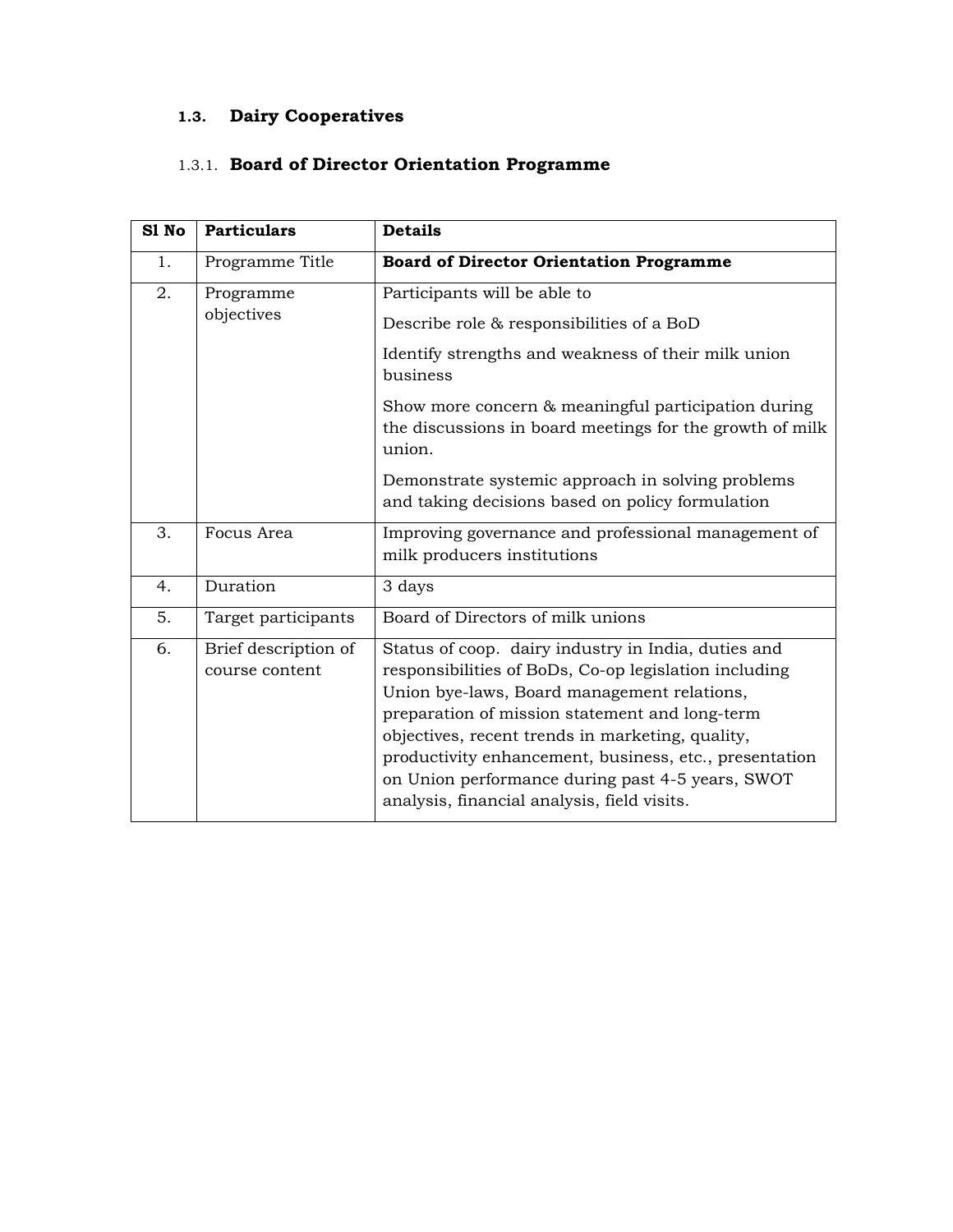## **1.3. Dairy Cooperatives**

#### 1.3.1. **Board of Director Orientation Programme**

| S1 No | <b>Particulars</b>                     | <b>Details</b>                                                                                                                                                                                                                                                                                                                                                                                                                 |
|-------|----------------------------------------|--------------------------------------------------------------------------------------------------------------------------------------------------------------------------------------------------------------------------------------------------------------------------------------------------------------------------------------------------------------------------------------------------------------------------------|
| 1.    | Programme Title                        | <b>Board of Director Orientation Programme</b>                                                                                                                                                                                                                                                                                                                                                                                 |
| 2.    | Programme<br>objectives                | Participants will be able to<br>Describe role & responsibilities of a BoD                                                                                                                                                                                                                                                                                                                                                      |
|       |                                        | Identify strengths and weakness of their milk union<br>business                                                                                                                                                                                                                                                                                                                                                                |
|       |                                        | Show more concern & meaningful participation during<br>the discussions in board meetings for the growth of milk<br>union.                                                                                                                                                                                                                                                                                                      |
|       |                                        | Demonstrate systemic approach in solving problems<br>and taking decisions based on policy formulation                                                                                                                                                                                                                                                                                                                          |
| 3.    | Focus Area                             | Improving governance and professional management of<br>milk producers institutions                                                                                                                                                                                                                                                                                                                                             |
| 4.    | Duration                               | 3 days                                                                                                                                                                                                                                                                                                                                                                                                                         |
| 5.    | Target participants                    | Board of Directors of milk unions                                                                                                                                                                                                                                                                                                                                                                                              |
| 6.    | Brief description of<br>course content | Status of coop. dairy industry in India, duties and<br>responsibilities of BoDs, Co-op legislation including<br>Union bye-laws, Board management relations,<br>preparation of mission statement and long-term<br>objectives, recent trends in marketing, quality,<br>productivity enhancement, business, etc., presentation<br>on Union performance during past 4-5 years, SWOT<br>analysis, financial analysis, field visits. |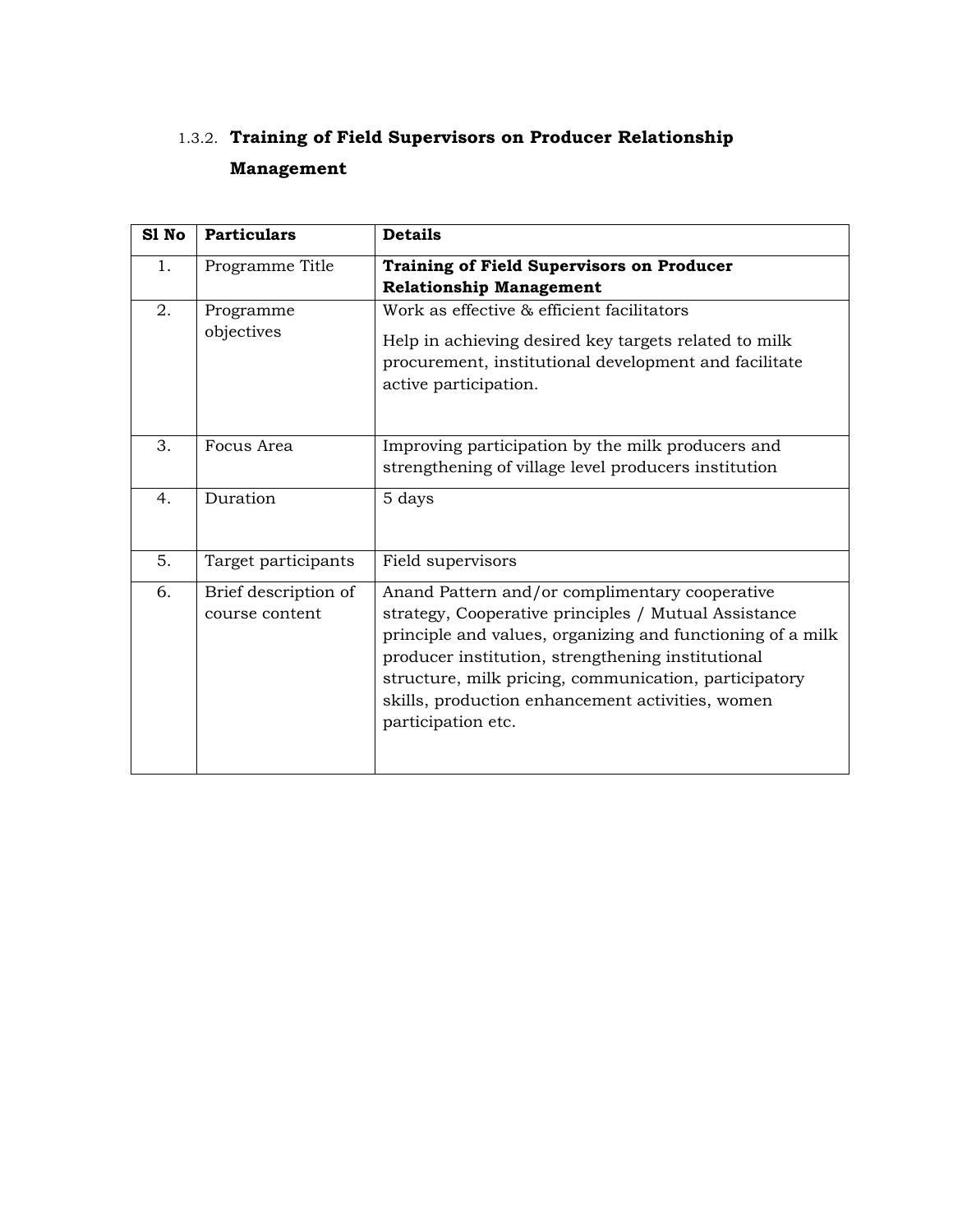## 1.3.2. **Training of Field Supervisors on Producer Relationship Management**

| S1 No | <b>Particulars</b>                     | <b>Details</b>                                                                                                                                                                                                                                                                                                                                               |
|-------|----------------------------------------|--------------------------------------------------------------------------------------------------------------------------------------------------------------------------------------------------------------------------------------------------------------------------------------------------------------------------------------------------------------|
| 1.    | Programme Title                        | <b>Training of Field Supervisors on Producer</b><br><b>Relationship Management</b>                                                                                                                                                                                                                                                                           |
| 2.    | Programme<br>objectives                | Work as effective & efficient facilitators<br>Help in achieving desired key targets related to milk<br>procurement, institutional development and facilitate<br>active participation.                                                                                                                                                                        |
| 3.    | Focus Area                             | Improving participation by the milk producers and<br>strengthening of village level producers institution                                                                                                                                                                                                                                                    |
| 4.    | Duration                               | 5 days                                                                                                                                                                                                                                                                                                                                                       |
| 5.    | Target participants                    | Field supervisors                                                                                                                                                                                                                                                                                                                                            |
| 6.    | Brief description of<br>course content | Anand Pattern and/or complimentary cooperative<br>strategy, Cooperative principles / Mutual Assistance<br>principle and values, organizing and functioning of a milk<br>producer institution, strengthening institutional<br>structure, milk pricing, communication, participatory<br>skills, production enhancement activities, women<br>participation etc. |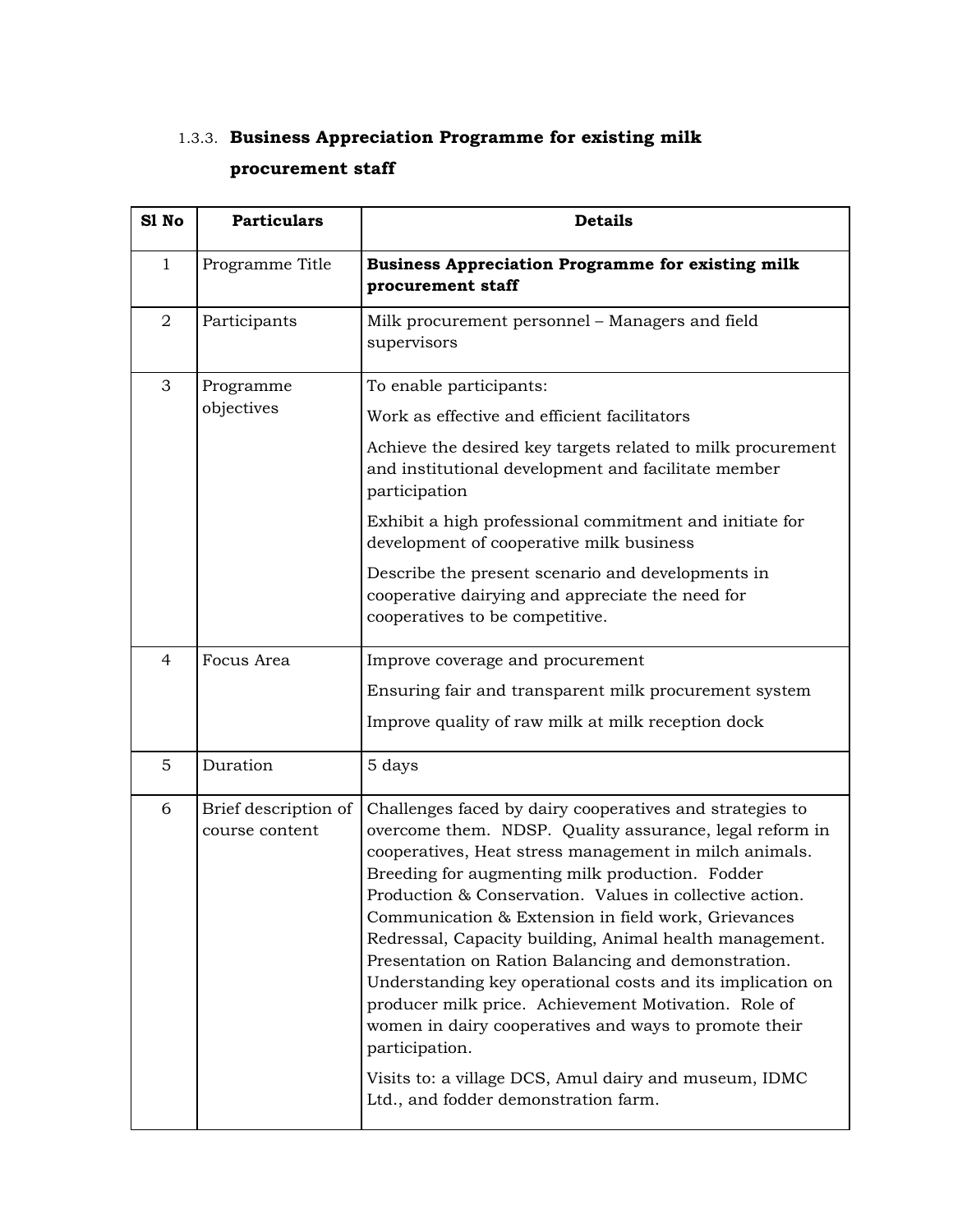### 1.3.3. **Business Appreciation Programme for existing milk procurement staff**

| S1 No          | <b>Particulars</b>                     | <b>Details</b>                                                                                                                                                                                                                                                                                                                                                                                                                                                                                                                                                                                                                                                                                                                                                         |
|----------------|----------------------------------------|------------------------------------------------------------------------------------------------------------------------------------------------------------------------------------------------------------------------------------------------------------------------------------------------------------------------------------------------------------------------------------------------------------------------------------------------------------------------------------------------------------------------------------------------------------------------------------------------------------------------------------------------------------------------------------------------------------------------------------------------------------------------|
| $\mathbf 1$    | Programme Title                        | <b>Business Appreciation Programme for existing milk</b><br>procurement staff                                                                                                                                                                                                                                                                                                                                                                                                                                                                                                                                                                                                                                                                                          |
| $\overline{a}$ | Participants                           | Milk procurement personnel - Managers and field<br>supervisors                                                                                                                                                                                                                                                                                                                                                                                                                                                                                                                                                                                                                                                                                                         |
| 3              | Programme<br>objectives                | To enable participants:<br>Work as effective and efficient facilitators<br>Achieve the desired key targets related to milk procurement<br>and institutional development and facilitate member<br>participation<br>Exhibit a high professional commitment and initiate for<br>development of cooperative milk business<br>Describe the present scenario and developments in<br>cooperative dairying and appreciate the need for<br>cooperatives to be competitive.                                                                                                                                                                                                                                                                                                      |
| $\overline{4}$ | Focus Area                             | Improve coverage and procurement<br>Ensuring fair and transparent milk procurement system<br>Improve quality of raw milk at milk reception dock                                                                                                                                                                                                                                                                                                                                                                                                                                                                                                                                                                                                                        |
| 5              | Duration                               | 5 days                                                                                                                                                                                                                                                                                                                                                                                                                                                                                                                                                                                                                                                                                                                                                                 |
| 6              | Brief description of<br>course content | Challenges faced by dairy cooperatives and strategies to<br>overcome them. NDSP. Quality assurance, legal reform in<br>cooperatives, Heat stress management in milch animals.<br>Breeding for augmenting milk production. Fodder<br>Production & Conservation. Values in collective action.<br>Communication & Extension in field work, Grievances<br>Redressal, Capacity building, Animal health management.<br>Presentation on Ration Balancing and demonstration.<br>Understanding key operational costs and its implication on<br>producer milk price. Achievement Motivation. Role of<br>women in dairy cooperatives and ways to promote their<br>participation.<br>Visits to: a village DCS, Amul dairy and museum, IDMC<br>Ltd., and fodder demonstration farm. |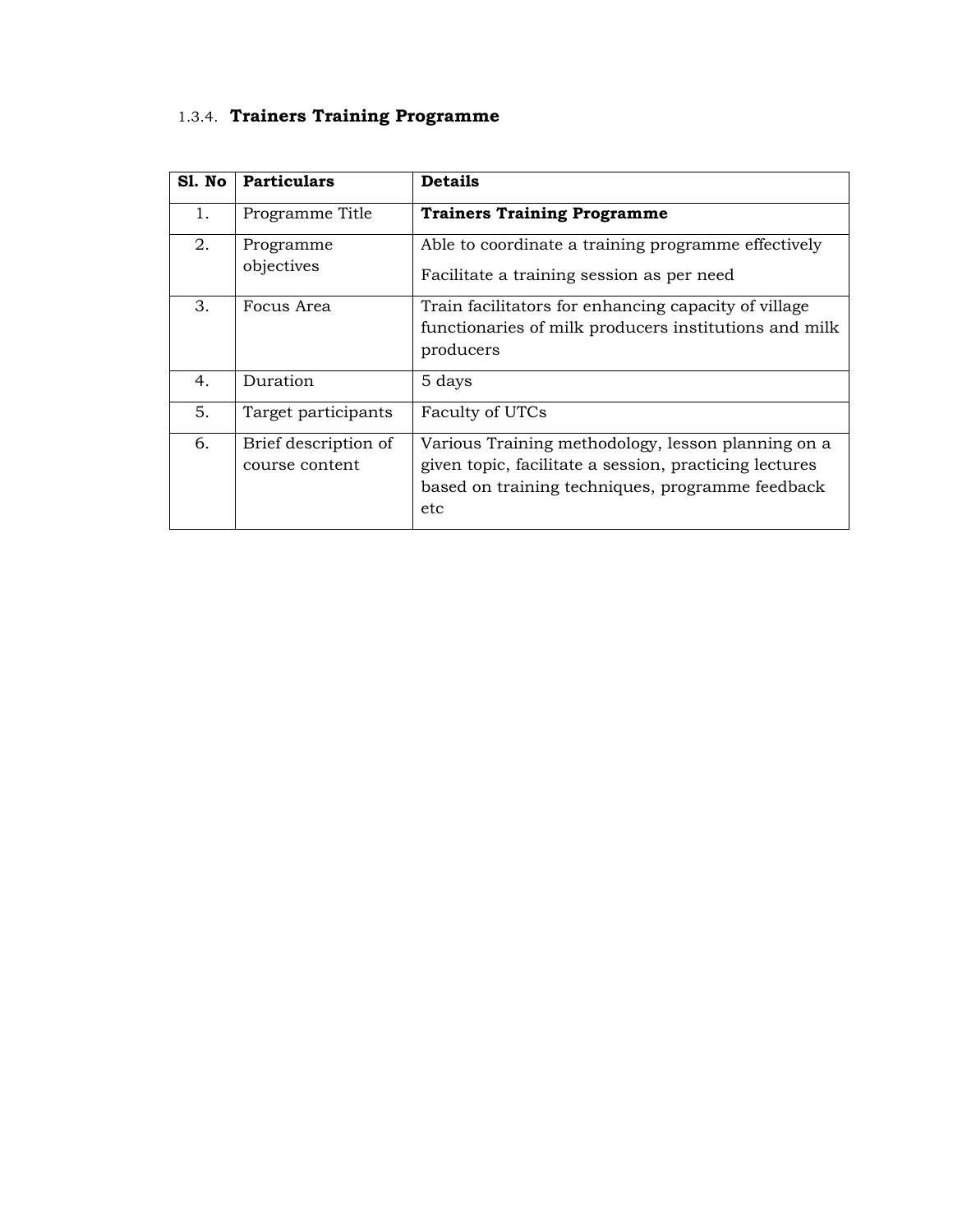## 1.3.4. **Trainers Training Programme**

| Sl. No | <b>Particulars</b>                     | <b>Details</b>                                                                                                                                                          |
|--------|----------------------------------------|-------------------------------------------------------------------------------------------------------------------------------------------------------------------------|
| 1.     | Programme Title                        | <b>Trainers Training Programme</b>                                                                                                                                      |
| 2.     | Programme<br>objectives                | Able to coordinate a training programme effectively<br>Facilitate a training session as per need                                                                        |
| 3.     | Focus Area                             | Train facilitators for enhancing capacity of village<br>functionaries of milk producers institutions and milk<br>producers                                              |
| 4.     | Duration                               | 5 days                                                                                                                                                                  |
| 5.     | Target participants                    | Faculty of UTCs                                                                                                                                                         |
| 6.     | Brief description of<br>course content | Various Training methodology, lesson planning on a<br>given topic, facilitate a session, practicing lectures<br>based on training techniques, programme feedback<br>etc |